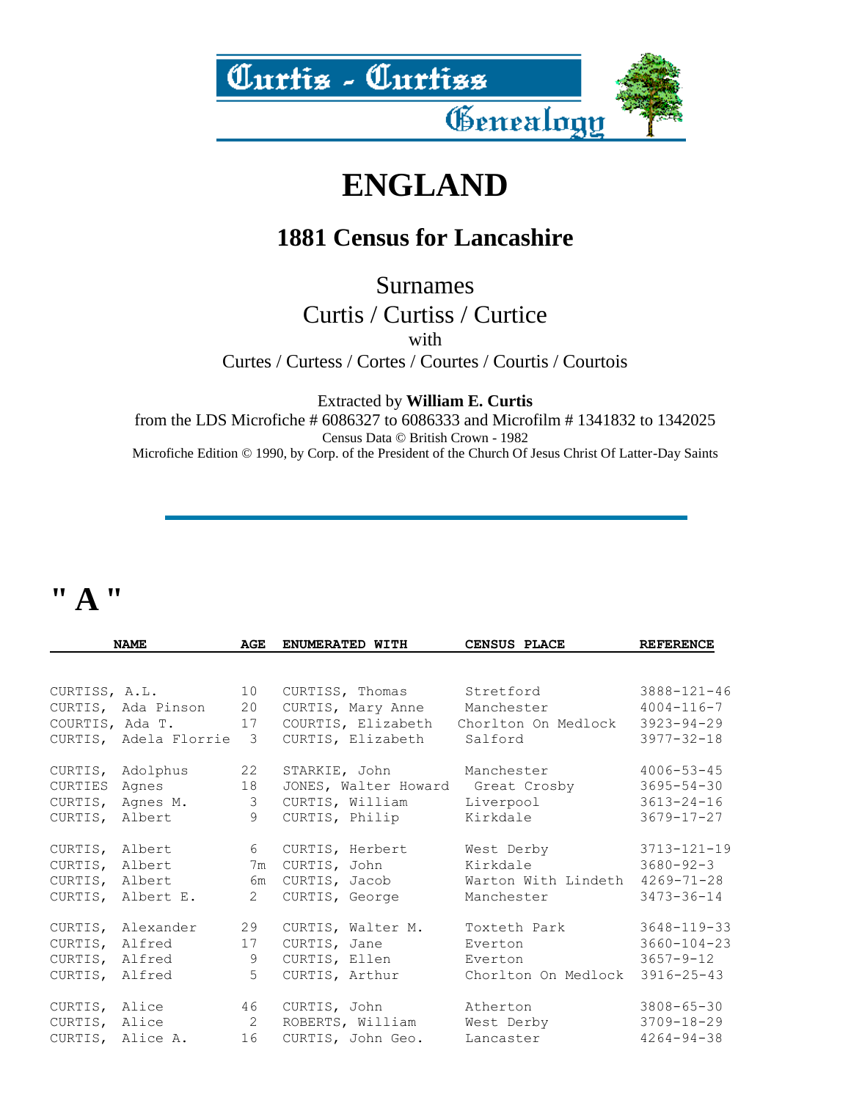

### **ENGLAND**

#### **1881 Census for Lancashire**

Surnames

Curtis / Curtiss / Curtice with Curtes / Curtess / Cortes / Courtes / Courtis / Courtois

Extracted by **William E. Curtis**

from the LDS Microfiche # 6086327 to 6086333 and Microfilm # 1341832 to 1342025 Census Data © British Crown - 1982 Microfiche Edition © 1990, by Corp. of the President of the Church Of Jesus Christ Of Latter-Day Saints

### **" A "**

| <b>NAME</b>    |                         | AGE            | ENUMERATED WITH    | <b>CENSUS PLACE</b>               | <b>REFERENCE</b>  |
|----------------|-------------------------|----------------|--------------------|-----------------------------------|-------------------|
|                |                         |                |                    |                                   |                   |
|                | CURTISS, A.L. 10        |                | CURTISS, Thomas    | Stretford                         | 3888-121-46       |
|                | CURTIS, Ada Pinson 20   |                |                    | CURTIS, Mary Anne Manchester      | $4004 - 116 - 7$  |
|                | COURTIS, Ada T. 17      |                | COURTIS, Elizabeth | Chorlton On Medlock               | 3923-94-29        |
|                | CURTIS, Adela Florrie 3 |                | CURTIS, Elizabeth  | Salford                           | $3977 - 32 - 18$  |
|                | CURTIS, Adolphus        | 22             | STARKIE, John      | Manchester                        | $4006 - 53 - 45$  |
|                | CURTIES Agnes           | 18             |                    | JONES, Walter Howard Great Crosby | $3695 - 54 - 30$  |
|                | CURTIS, Agnes M.        | $\mathcal{S}$  | CURTIS, William    | Liverpool                         | $3613 - 24 - 16$  |
|                | CURTIS, Albert          | 9              | CURTIS, Philip     | Kirkdale                          | $3679 - 17 - 27$  |
|                | CURTIS, Albert          | $6\degree$     | CURTIS, Herbert    | West Derby 3713-121-19            |                   |
| CURTIS, Albert |                         | 7m             | CURTIS, John       | Kirkdale 3680-92-3                |                   |
| CURTIS, Albert |                         | 6m             | CURTIS, Jacob      | Warton With Lindeth               | $4269 - 71 - 28$  |
|                | CURTIS, Albert E.       | $\overline{2}$ | CURTIS, George     | Manchester                        | $3473 - 36 - 14$  |
|                | CURTIS, Alexander       | 29             | CURTIS, Walter M.  | Toxteth Park                      | 3648-119-33       |
| CURTIS, Alfred |                         | 17             | CURTIS, Jane       | Everton                           | $3660 - 104 - 23$ |
|                | CURTIS, Alfred          | 9              | CURTIS, Ellen      | Everton                           | $3657 - 9 - 12$   |
| CURTIS, Alfred |                         | 5              | CURTIS, Arthur     | Chorlton On Medlock 3916-25-43    |                   |
|                | CURTIS, Alice 46        |                | CURTIS, John       | Atherton                          | $3808 - 65 - 30$  |
|                | CURTIS, Alice 2         |                | ROBERTS, William   | West Derby 3709-18-29             |                   |
|                | CURTIS, Alice A. 16     |                | CURTIS, John Geo.  | Lancaster                         | $4264 - 94 - 38$  |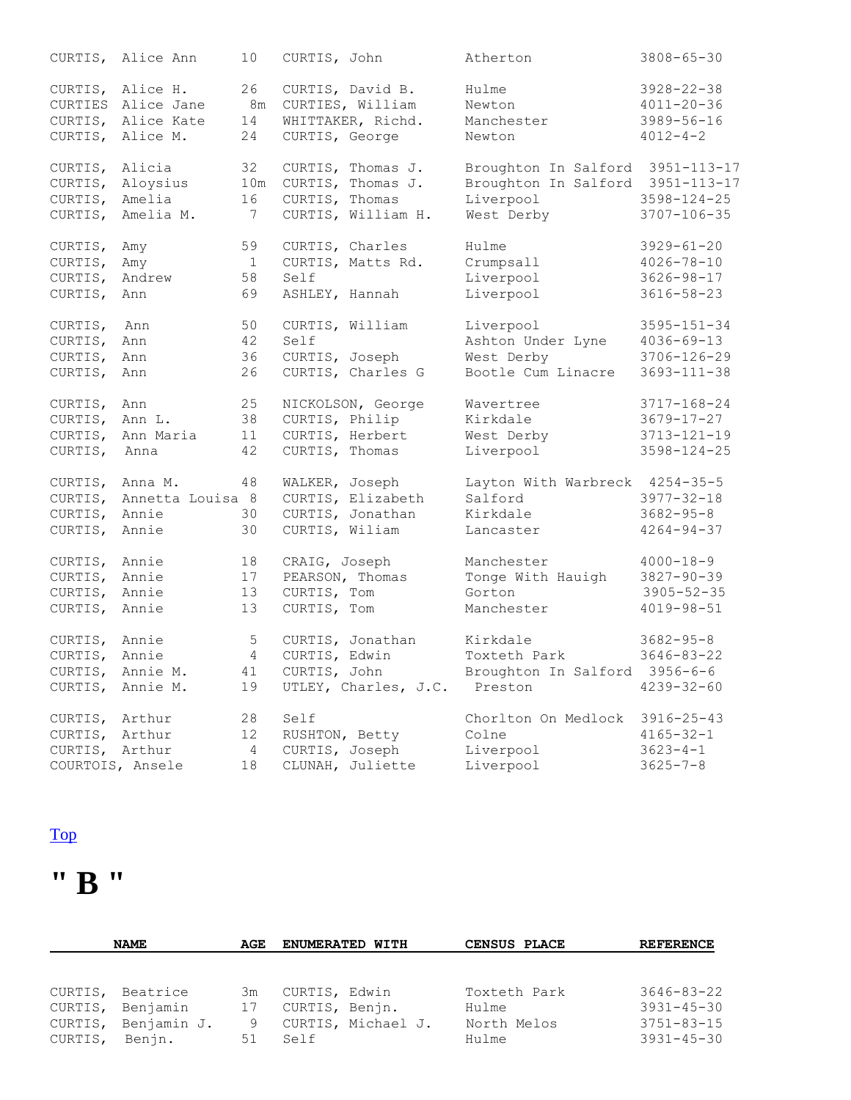|                 | CURTIS, Alice Ann  | 10              | CURTIS, John   |                              | Atherton                         | $3808 - 65 - 30$  |
|-----------------|--------------------|-----------------|----------------|------------------------------|----------------------------------|-------------------|
|                 | CURTIS, Alice H.   | 26              |                | CURTIS, David B.             | Hulme                            | $3928 - 22 - 38$  |
|                 | CURTIES Alice Jane | 8m              |                | CURTIES, William             | Newton                           | $4011 - 20 - 36$  |
|                 | CURTIS, Alice Kate | 14              |                | WHITTAKER, Richd.            | Manchester                       | $3989 - 56 - 16$  |
| CURTIS,         | Alice M.           | 24              | CURTIS, George |                              | Newton                           | $4012 - 4 - 2$    |
|                 |                    |                 |                |                              |                                  |                   |
| CURTIS,         | Alicia             | 32              |                | CURTIS, Thomas J.            | Broughton In Salford 3951-113-17 |                   |
| CURTIS,         | Aloysius           |                 |                | 10m CURTIS, Thomas J.        | Broughton In Salford 3951-113-17 |                   |
| CURTIS,         | Amelia             | 16              | CURTIS, Thomas |                              | Liverpool                        | $3598 - 124 - 25$ |
| CURTIS,         | Amelia M.          | $7\phantom{.0}$ |                | CURTIS, William H.           | West Derby                       | $3707 - 106 - 35$ |
| CURTIS, Amy     |                    | 59              |                | CURTIS, Charles              | Hulme                            | $3929 - 61 - 20$  |
| CURTIS,         | Amy                | $\overline{1}$  |                | CURTIS, Matts Rd.            | Crumpsall                        | $4026 - 78 - 10$  |
| CURTIS,         | Andrew             | 58              | Self           |                              | Liverpool                        | $3626 - 98 - 17$  |
| CURTIS,         | Ann                | 69              |                | ASHLEY, Hannah               | Liverpool                        | $3616 - 58 - 23$  |
|                 |                    |                 |                |                              |                                  |                   |
| CURTIS,         | Ann                | 50              |                | CURTIS, William              | Liverpool                        | $3595 - 151 - 34$ |
| CURTIS,         | Ann                | 42              | Self           |                              | Ashton Under Lyne                | $4036 - 69 - 13$  |
| CURTIS,         | Ann                | 36              |                | CURTIS, Joseph               | West Derby                       | $3706 - 126 - 29$ |
| CURTIS, Ann     |                    | 26              |                | CURTIS, Charles G            | Bootle Cum Linacre               | $3693 - 111 - 38$ |
|                 |                    |                 |                |                              |                                  |                   |
| CURTIS,         | Ann                | 25              |                | NICKOLSON, George            | Wavertree                        | $3717 - 168 - 24$ |
| CURTIS,         | Ann L.             | 38              | CURTIS, Philip |                              | Kirkdale                         | $3679 - 17 - 27$  |
| CURTIS,         | Ann Maria          | 11              |                | CURTIS, Herbert              | West Derby                       | $3713 - 121 - 19$ |
| CURTIS,         | Anna               | 42              | CURTIS, Thomas |                              | Liverpool                        | $3598 - 124 - 25$ |
|                 |                    |                 |                |                              |                                  |                   |
| CURTIS, Anna M. |                    | 48              | WALKER, Joseph |                              | Layton With Warbreck 4254-35-5   |                   |
| CURTIS,         | Annetta Louisa 8   |                 |                | CURTIS, Elizabeth            | Salford                          | $3977 - 32 - 18$  |
| CURTIS, Annie   |                    | 30              |                | CURTIS, Jonathan             | Kirkdale                         | $3682 - 95 - 8$   |
| CURTIS,         | Annie              | 30              | CURTIS, Wiliam |                              | Lancaster                        | $4264 - 94 - 37$  |
|                 |                    |                 |                |                              |                                  |                   |
| CURTIS,         | Annie              | 18              | CRAIG, Joseph  |                              | Manchester                       | $4000 - 18 - 9$   |
| CURTIS,         | Annie              | 17              |                | PEARSON, Thomas              | Tonge With Hauigh                | $3827 - 90 - 39$  |
| CURTIS,         | Annie              | 13              | CURTIS, Tom    |                              | Gorton                           | $3905 - 52 - 35$  |
| CURTIS, Annie   |                    | 13              | CURTIS, Tom    |                              | Manchester                       | $4019 - 98 - 51$  |
| CURTIS, Annie   |                    | 5 <sup>5</sup>  |                | CURTIS, Jonathan             | Kirkdale                         | $3682 - 95 - 8$   |
| CURTIS, Annie   |                    | 4               | CURTIS, Edwin  |                              | Toxteth Park                     | $3646 - 83 - 22$  |
|                 | CURTIS, Annie M.   | 41              |                | CURTIS, John                 | Broughton In Salford 3956-6-6    |                   |
|                 | CURTIS, Annie M.   | 19              |                | UTLEY, Charles, J.C. Preston |                                  | $4239 - 32 - 60$  |
|                 |                    |                 |                |                              |                                  |                   |
| CURTIS, Arthur  |                    | 28              | Self           |                              | Chorlton On Medlock              | $3916 - 25 - 43$  |
| CURTIS, Arthur  |                    | 12              | RUSHTON, Betty |                              | Colne                            | $4165 - 32 - 1$   |
| CURTIS, Arthur  |                    | $\overline{4}$  | CURTIS, Joseph |                              | Liverpool                        | $3623 - 4 - 1$    |
|                 | COURTOIS, Ansele   | 18              |                | CLUNAH, Juliette             | Liverpool                        | $3625 - 7 - 8$    |
|                 |                    |                 |                |                              |                                  |                   |

# **" B "**

|                    | <b>NAME</b>                                                   | AGE                 | <b>ENUMERATED WITH</b>                                        | CENSUS PLACE                                  | <b>REFERENCE</b>                                                             |
|--------------------|---------------------------------------------------------------|---------------------|---------------------------------------------------------------|-----------------------------------------------|------------------------------------------------------------------------------|
| CURTIS,<br>CURTIS, | Beatrice<br>CURTIS, Benjamin<br>Benjamin J.<br>CURTIS, Benjn. | 3m<br>17<br>9<br>51 | CURTIS, Edwin<br>CURTIS, Benjn.<br>CURTIS, Michael J.<br>Self | Toxteth Park<br>Hulme<br>North Melos<br>Hulme | $3646 - 83 - 22$<br>$3931 - 45 - 30$<br>$3751 - 83 - 15$<br>$3931 - 45 - 30$ |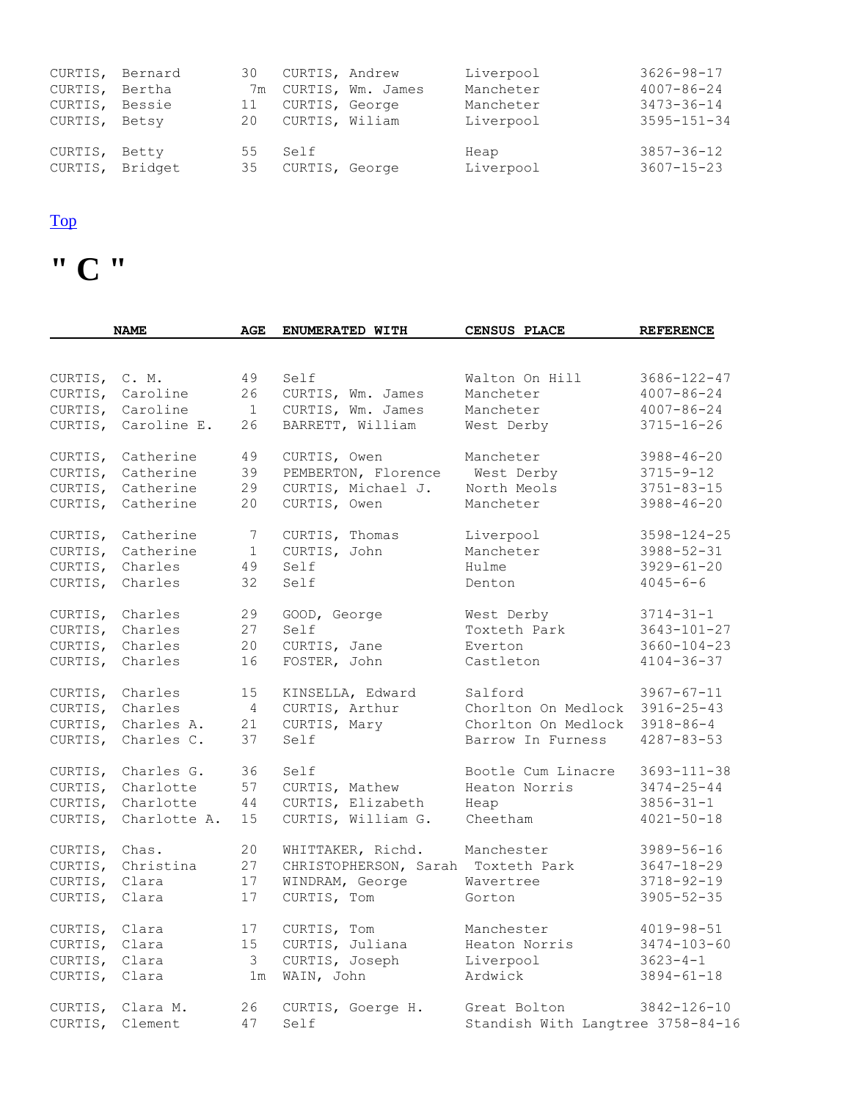| CURTIS, Bernard            |       | 30  | CURTIS, Andrew            |                      | Liverpool         | $3626 - 98 - 17$                     |
|----------------------------|-------|-----|---------------------------|----------------------|-------------------|--------------------------------------|
| CURTIS, Bertha             |       |     |                           | 7m CURTIS, Wm. James | Mancheter         | $4007 - 86 - 24$                     |
| CURTIS, Bessie             |       | 11  | CURTIS, George            |                      | Mancheter         | $3473 - 36 - 14$                     |
| CURTIS, Betsy              |       | 20  | CURTIS, Wiliam            |                      | Liverpool         | $3595 - 151 - 34$                    |
| CURTIS,<br>CURTIS, Bridget | Betty | 55. | Self<br>35 CURTIS, George |                      | Heap<br>Liverpool | $3857 - 36 - 12$<br>$3607 - 15 - 23$ |

**" C "** 

|               | <b>NAME</b>        | AGE            | ENUMERATED WITH       | <b>CENSUS PLACE</b>               | <b>REFERENCE</b>  |
|---------------|--------------------|----------------|-----------------------|-----------------------------------|-------------------|
|               |                    |                |                       |                                   |                   |
| CURTIS, C. M. |                    | 49             | Self                  | Walton On Hill                    | 3686-122-47       |
| CURTIS,       | Caroline           | 26             | CURTIS, Wm. James     | Mancheter                         | $4007 - 86 - 24$  |
| CURTIS,       | Caroline           | $\overline{1}$ | CURTIS, Wm. James     | Mancheter                         | $4007 - 86 - 24$  |
| CURTIS,       | Caroline E.        | 26             | BARRETT, William      | West Derby                        | $3715 - 16 - 26$  |
|               | Catherine          |                | CURTIS, Owen          | Mancheter                         |                   |
| CURTIS,       |                    | 49             |                       |                                   | $3988 - 46 - 20$  |
| CURTIS,       | Catherine          | 39             | PEMBERTON, Florence   | West Derby                        | $3715 - 9 - 12$   |
| CURTIS,       | Catherine          | 29             | CURTIS, Michael J.    | North Meols                       | $3751 - 83 - 15$  |
| CURTIS,       | Catherine          | 20             | CURTIS, Owen          | Mancheter                         | $3988 - 46 - 20$  |
| CURTIS,       | Catherine          | 7              | CURTIS, Thomas        | Liverpool                         | $3598 - 124 - 25$ |
| CURTIS,       | Catherine          | $\mathbf 1$    | CURTIS, John          | Mancheter                         | $3988 - 52 - 31$  |
| CURTIS,       | Charles            | 49             | Self                  | Hulme                             | $3929 - 61 - 20$  |
| CURTIS,       | Charles            | 32             | Self                  | Denton                            | $4045 - 6 - 6$    |
| CURTIS,       | Charles            | 29             | GOOD, George          | West Derby                        | $3714 - 31 - 1$   |
| CURTIS,       | Charles            | 27             | Self                  | Toxteth Park                      | 3643-101-27       |
|               | Charles            | 20             | CURTIS, Jane          | Everton                           | $3660 - 104 - 23$ |
| CURTIS,       |                    |                |                       |                                   |                   |
|               | CURTIS, Charles    | 16             | FOSTER, John          | Castleton                         | $4104 - 36 - 37$  |
| CURTIS,       | Charles            | 15             | KINSELLA, Edward      | Salford                           | $3967 - 67 - 11$  |
| CURTIS,       | Charles            | $\overline{4}$ | CURTIS, Arthur        | Chorlton On Medlock               | $3916 - 25 - 43$  |
| CURTIS,       | Charles A.         | 21             | CURTIS, Mary          | Chorlton On Medlock               | $3918 - 86 - 4$   |
| CURTIS,       | Charles C.         | 37             | Self                  | Barrow In Furness                 | $4287 - 83 - 53$  |
|               | CURTIS, Charles G. | 36             | Self                  | Bootle Cum Linacre                | $3693 - 111 - 38$ |
| CURTIS,       | Charlotte          | 57             | CURTIS, Mathew        | Heaton Norris                     | $3474 - 25 - 44$  |
| CURTIS,       | Charlotte          | 44             | CURTIS, Elizabeth     | Heap                              | $3856 - 31 - 1$   |
| CURTIS,       | Charlotte A.       | 15             | CURTIS, William G.    | Cheetham                          | $4021 - 50 - 18$  |
|               |                    |                |                       |                                   |                   |
| CURTIS,       | Chas.              | 20             | WHITTAKER, Richd.     | Manchester                        | 3989-56-16        |
| CURTIS,       | Christina          | 27             | CHRISTOPHERSON, Sarah | Toxteth Park                      | $3647 - 18 - 29$  |
| CURTIS,       | Clara              | 17             | WINDRAM, George       | Wavertree                         | $3718 - 92 - 19$  |
| CURTIS,       | Clara              | 17             | CURTIS, Tom           | Gorton                            | $3905 - 52 - 35$  |
| CURTIS,       | Clara              | 17             | CURTIS, Tom           | Manchester                        | $4019 - 98 - 51$  |
| CURTIS,       | Clara              | 15             | CURTIS, Juliana       | Heaton Norris                     | $3474 - 103 - 60$ |
| CURTIS,       | Clara              | 3              | CURTIS, Joseph        | Liverpool                         | $3623 - 4 - 1$    |
| CURTIS, Clara |                    | 1m             | WAIN, John            | Ardwick                           | $3894 - 61 - 18$  |
|               |                    |                |                       |                                   |                   |
| CURTIS,       | Clara M.           | 26             | CURTIS, Goerge H.     | Great Bolton                      | 3842-126-10       |
| CURTIS,       | Clement            | 47             | Self                  | Standish With Langtree 3758-84-16 |                   |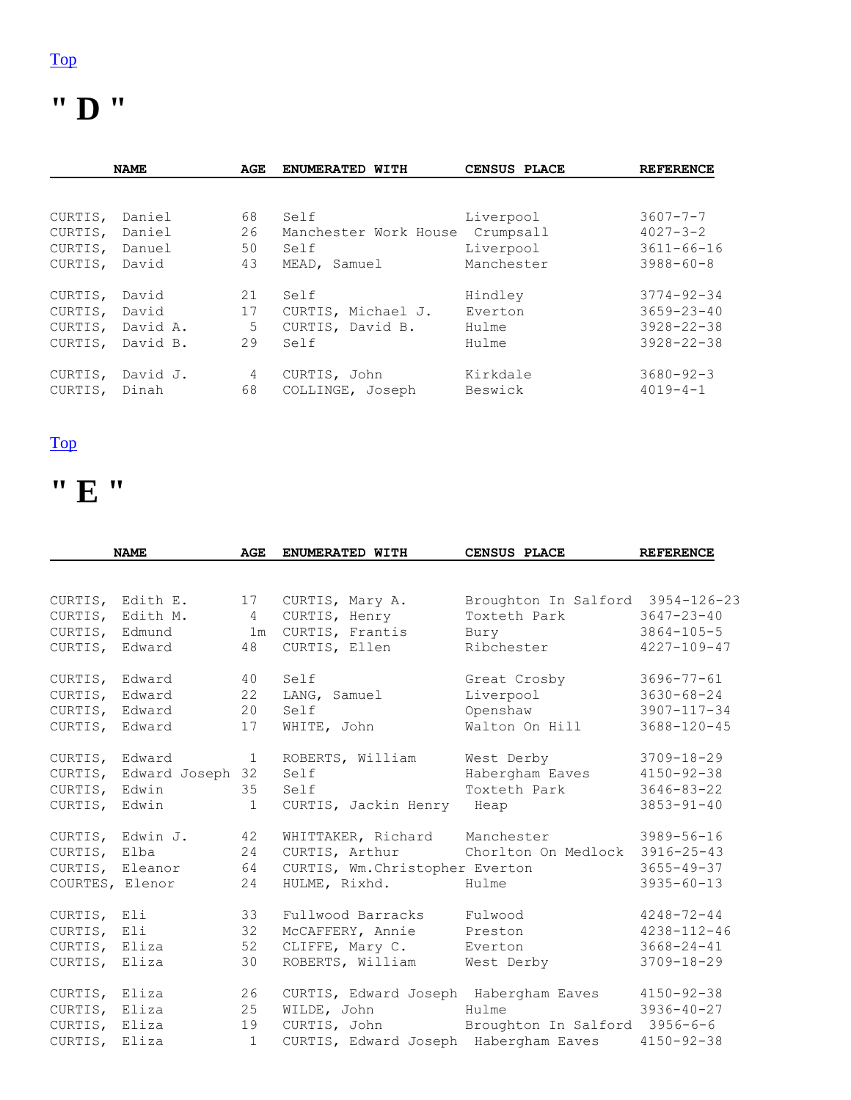### **" D "**

| <b>NAME</b><br>AGE |          | ENUMERATED WITH | CENSUS PLACE          | <b>REFERENCE</b> |                  |
|--------------------|----------|-----------------|-----------------------|------------------|------------------|
|                    |          |                 |                       |                  |                  |
| CURTIS,            | Daniel   | 68              | Self                  | Liverpool        | $3607 - 7 - 7$   |
| CURTIS,            | Daniel   | 26              | Manchester Work House | Crumpsall        | $4027 - 3 - 2$   |
| CURTIS,            | Danuel   | 50              | Self                  | Liverpool        | $3611 - 66 - 16$ |
| CURTIS,            | David    | 43              | MEAD, Samuel          | Manchester       | $3988 - 60 - 8$  |
| CURTIS,            | David    | 21              | Self                  | Hindley          | $3774 - 92 - 34$ |
| CURTIS,            | David    | 17              | CURTIS, Michael J.    | Everton          | $3659 - 23 - 40$ |
| CURTIS,            | David A. | 5               | CURTIS, David B.      | Hulme            | $3928 - 22 - 38$ |
| CURTIS,            | David B. | 29              | Self                  | Hulme            | $3928 - 22 - 38$ |
| CURTIS,            | David J. | 4               | CURTIS, John          | Kirkdale         | $3680 - 92 - 3$  |
| CURTIS,            | Dinah    | 68              | COLLINGE, Joseph      | Beswick          | $4019 - 4 - 1$   |

#### [Top](http://www.curtis-curtiss.com/pub/archives/extractions/england/lancashire/1881_census/lan_curtis_idx.html#top)

### **" E "**

|                 | <b>NAME</b>      | <b>AGE</b>      | ENUMERATED WITH                       | CENSUS PLACE                     | <b>REFERENCE</b>  |
|-----------------|------------------|-----------------|---------------------------------------|----------------------------------|-------------------|
|                 |                  |                 |                                       |                                  |                   |
|                 | CURTIS, Edith E. | 17              | CURTIS, Mary A.                       | Broughton In Salford 3954-126-23 |                   |
| CURTIS,         | Edith M.         | $4\overline{ }$ | CURTIS, Henry                         | Toxteth Park                     | $3647 - 23 - 40$  |
| CURTIS,         | Edmund           | 1 <sub>m</sub>  | CURTIS, Frantis                       | Bury                             | $3864 - 105 - 5$  |
| CURTIS, Edward  |                  | 48              | CURTIS, Ellen                         | Ribchester                       | $4227 - 109 - 47$ |
| CURTIS, Edward  |                  | 40              | Self                                  | Great Crosby                     | $3696 - 77 - 61$  |
| CURTIS,         | Edward           | 22              | LANG, Samuel                          | Liverpool                        | $3630 - 68 - 24$  |
| CURTIS,         | Edward           | 20              | Self                                  | Openshaw                         | 3907-117-34       |
| CURTIS,         | Edward           | 17              | WHITE, John                           | Walton On Hill                   | $3688 - 120 - 45$ |
| CURTIS, Edward  |                  | $\mathbf{1}$    | ROBERTS, William                      | West Derby                       | $3709 - 18 - 29$  |
| CURTIS,         | Edward Joseph 32 |                 | Self                                  | Habergham Eaves                  | $4150 - 92 - 38$  |
| CURTIS,         | Edwin            | 35              | Self                                  | Toxteth Park                     | $3646 - 83 - 22$  |
| CURTIS,         | Edwin            | $\mathbf 1$     | CURTIS, Jackin Henry                  | Heap                             | $3853 - 91 - 40$  |
|                 | CURTIS, Edwin J. | 42              | WHITTAKER, Richard                    | Manchester                       | $3989 - 56 - 16$  |
| CURTIS, Elba    |                  | 24              | CURTIS, Arthur                        | Chorlton On Medlock              | $3916 - 25 - 43$  |
|                 | CURTIS, Eleanor  | 64              | CURTIS, Wm. Christopher Everton       |                                  | $3655 - 49 - 37$  |
| COURTES, Elenor |                  | 24              | HULME, Rixhd.                         | Hulme                            | $3935 - 60 - 13$  |
| CURTIS, Eli     |                  | 33              | Fullwood Barracks                     | Fulwood                          | $4248 - 72 - 44$  |
| CURTIS,         | Eli              | 32              | McCAFFERY, Annie                      | Preston                          | $4238 - 112 - 46$ |
| CURTIS, Eliza   |                  | 52              | CLIFFE, Mary C.                       | Everton                          | $3668 - 24 - 41$  |
| CURTIS, Eliza   |                  | 30              | ROBERTS, William                      | West Derby                       | $3709 - 18 - 29$  |
| CURTIS, Eliza   |                  | 26              | CURTIS, Edward Joseph Habergham Eaves |                                  | $4150 - 92 - 38$  |
| CURTIS,         | Eliza            | 25              | WILDE, John                           | Hulme                            | $3936 - 40 - 27$  |
| CURTIS,         | Eliza            | 19              | CURTIS, John                          | Broughton In Salford 3956-6-6    |                   |
| CURTIS, Eliza   |                  | $\mathbf{1}$    | CURTIS, Edward Joseph Habergham Eaves |                                  | $4150 - 92 - 38$  |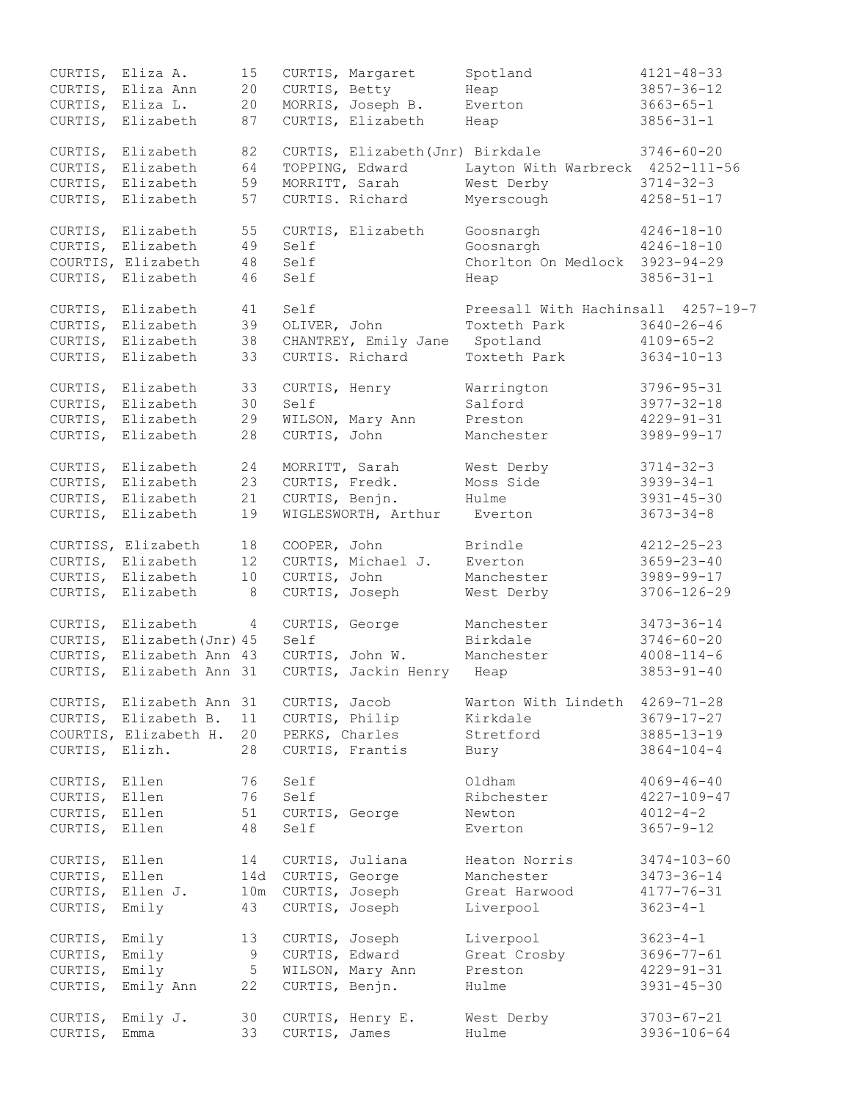|                | CURTIS, Eliza A.           | 15             |                 | CURTIS, Margaret                 | Spotland                           | $4121 - 48 - 33$  |
|----------------|----------------------------|----------------|-----------------|----------------------------------|------------------------------------|-------------------|
|                | CURTIS, Eliza Ann          | 20             | CURTIS, Betty   |                                  | Heap                               | $3857 - 36 - 12$  |
|                | CURTIS, Eliza L.           | 20             |                 | MORRIS, Joseph B.                | Everton                            | $3663 - 65 - 1$   |
|                | CURTIS, Elizabeth          | 87             |                 | CURTIS, Elizabeth                | Heap                               | $3856 - 31 - 1$   |
|                |                            |                |                 |                                  |                                    |                   |
| CURTIS,        | Elizabeth                  | 82             |                 | CURTIS, Elizabeth (Jnr) Birkdale |                                    | $3746 - 60 - 20$  |
| CURTIS,        | Elizabeth                  | 64             |                 | TOPPING, Edward                  | Layton With Warbreck 4252-111-56   |                   |
| CURTIS,        | Elizabeth                  | 59             | MORRITT, Sarah  |                                  | West Derby                         | $3714 - 32 - 3$   |
| CURTIS,        | Elizabeth                  | 57             |                 | CURTIS. Richard                  | Myerscough                         | $4258 - 51 - 17$  |
|                |                            |                |                 |                                  |                                    |                   |
|                | CURTIS, Elizabeth          | 55             |                 | CURTIS, Elizabeth                | Goosnargh                          | $4246 - 18 - 10$  |
|                | CURTIS, Elizabeth          | 49             | Self            |                                  | Goosnargh                          | $4246 - 18 - 10$  |
|                | COURTIS, Elizabeth         | 48             | Self            |                                  | Chorlton On Medlock 3923-94-29     |                   |
|                | CURTIS, Elizabeth          | 46             | Self            |                                  | Heap                               | $3856 - 31 - 1$   |
|                |                            |                |                 |                                  |                                    |                   |
|                | CURTIS, Elizabeth          | 41             | Self            |                                  | Preesall With Hachinsall 4257-19-7 |                   |
|                | Elizabeth                  | 39             |                 |                                  | Toxteth Park                       | $3640 - 26 - 46$  |
| CURTIS,        |                            |                |                 | OLIVER, John                     |                                    |                   |
|                | CURTIS, Elizabeth          | 38             |                 | CHANTREY, Emily Jane             | Spotland                           | $4109 - 65 - 2$   |
|                | CURTIS, Elizabeth          | 33             |                 | CURTIS. Richard                  | Toxteth Park                       | $3634 - 10 - 13$  |
|                |                            |                |                 |                                  |                                    |                   |
|                | CURTIS, Elizabeth          | 33             | CURTIS, Henry   |                                  | Warrington                         | $3796 - 95 - 31$  |
|                | CURTIS, Elizabeth          | 30             | Self            |                                  | Salford                            | $3977 - 32 - 18$  |
|                | CURTIS, Elizabeth          | 29             |                 | WILSON, Mary Ann                 | Preston                            | $4229 - 91 - 31$  |
|                | CURTIS, Elizabeth          | 28             | CURTIS, John    |                                  | Manchester                         | 3989-99-17        |
|                |                            |                |                 |                                  |                                    |                   |
|                | CURTIS, Elizabeth          | 24             | MORRITT, Sarah  |                                  | West Derby                         | $3714 - 32 - 3$   |
| CURTIS,        | Elizabeth                  | 23             | CURTIS, Fredk.  |                                  | Moss Side                          | $3939 - 34 - 1$   |
|                | CURTIS, Elizabeth          | 21             | CURTIS, Benjn.  |                                  | Hulme                              | $3931 - 45 - 30$  |
|                | CURTIS, Elizabeth          | 19             |                 | WIGLESWORTH, Arthur              | Everton                            | $3673 - 34 - 8$   |
|                |                            |                |                 |                                  |                                    |                   |
|                | CURTISS, Elizabeth         | 18             | COOPER, John    |                                  | Brindle                            | $4212 - 25 - 23$  |
|                | CURTIS, Elizabeth          | 12             |                 | CURTIS, Michael J.               | Everton                            | $3659 - 23 - 40$  |
|                | CURTIS, Elizabeth          | 10             | CURTIS, John    |                                  | Manchester                         | 3989-99-17        |
|                | CURTIS, Elizabeth          | 8              |                 | CURTIS, Joseph                   | West Derby                         | $3706 - 126 - 29$ |
|                |                            |                |                 |                                  |                                    |                   |
|                | CURTIS, Elizabeth          | $\overline{4}$ | CURTIS, George  |                                  | Manchester                         | $3473 - 36 - 14$  |
|                | CURTIS, Elizabeth (Jnr) 45 |                | Self            |                                  | Birkdale                           | $3746 - 60 - 20$  |
|                | CURTIS, Elizabeth Ann 43   |                |                 | CURTIS, John W.                  | Manchester                         | $4008 - 114 - 6$  |
|                | CURTIS, Elizabeth Ann 31   |                |                 | CURTIS, Jackin Henry Heap        |                                    | $3853 - 91 - 40$  |
|                |                            |                |                 |                                  |                                    |                   |
|                | CURTIS, Elizabeth Ann 31   |                | CURTIS, Jacob   |                                  | Warton With Lindeth                | $4269 - 71 - 28$  |
|                | CURTIS, Elizabeth B.       | 11             | CURTIS, Philip  |                                  | Kirkdale                           | $3679 - 17 - 27$  |
|                | COURTIS, Elizabeth H.      | 20             | PERKS, Charles  |                                  | Stretford                          | $3885 - 13 - 19$  |
| CURTIS, Elizh. |                            | 28             |                 | CURTIS, Frantis                  | Bury                               | $3864 - 104 - 4$  |
|                |                            |                |                 |                                  |                                    |                   |
| CURTIS, Ellen  |                            | 76             | Self            |                                  | Oldham                             | $4069 - 46 - 40$  |
| CURTIS, Ellen  |                            | 76             | Self            |                                  | Ribchester                         | $4227 - 109 - 47$ |
| CURTIS, Ellen  |                            | 51             | CURTIS, George  |                                  | Newton                             | $4012 - 4 - 2$    |
| CURTIS, Ellen  |                            | 48             | Self            |                                  | Everton                            | $3657 - 9 - 12$   |
|                |                            |                |                 |                                  |                                    |                   |
| CURTIS, Ellen  |                            | 14             | CURTIS, Juliana |                                  | Heaton Norris                      | $3474 - 103 - 60$ |
| CURTIS, Ellen  |                            | 14d            | CURTIS, George  |                                  | Manchester                         | $3473 - 36 - 14$  |
|                | CURTIS, Ellen J.           | 10m            | CURTIS, Joseph  |                                  | Great Harwood                      | $4177 - 76 - 31$  |
| CURTIS, Emily  |                            | 43             | CURTIS, Joseph  |                                  | Liverpool                          | $3623 - 4 - 1$    |
|                |                            |                |                 |                                  |                                    |                   |
| CURTIS, Emily  |                            | 13             | CURTIS, Joseph  |                                  | Liverpool                          | $3623 - 4 - 1$    |
| CURTIS,        | Emily                      | 9              | CURTIS, Edward  |                                  | Great Crosby                       | $3696 - 77 - 61$  |
| CURTIS,        | Emily                      | $\overline{5}$ |                 | WILSON, Mary Ann                 | Preston                            | $4229 - 91 - 31$  |
| CURTIS,        | Emily Ann                  | 22             | CURTIS, Benjn.  |                                  | Hulme                              | $3931 - 45 - 30$  |
|                |                            |                |                 |                                  |                                    |                   |
| CURTIS,        | Emily J.                   | 30             |                 | CURTIS, Henry E.                 | West Derby                         | $3703 - 67 - 21$  |
|                |                            | 33             |                 |                                  | Hulme                              |                   |
| CURTIS,        | Emma                       |                | CURTIS, James   |                                  |                                    | 3936-106-64       |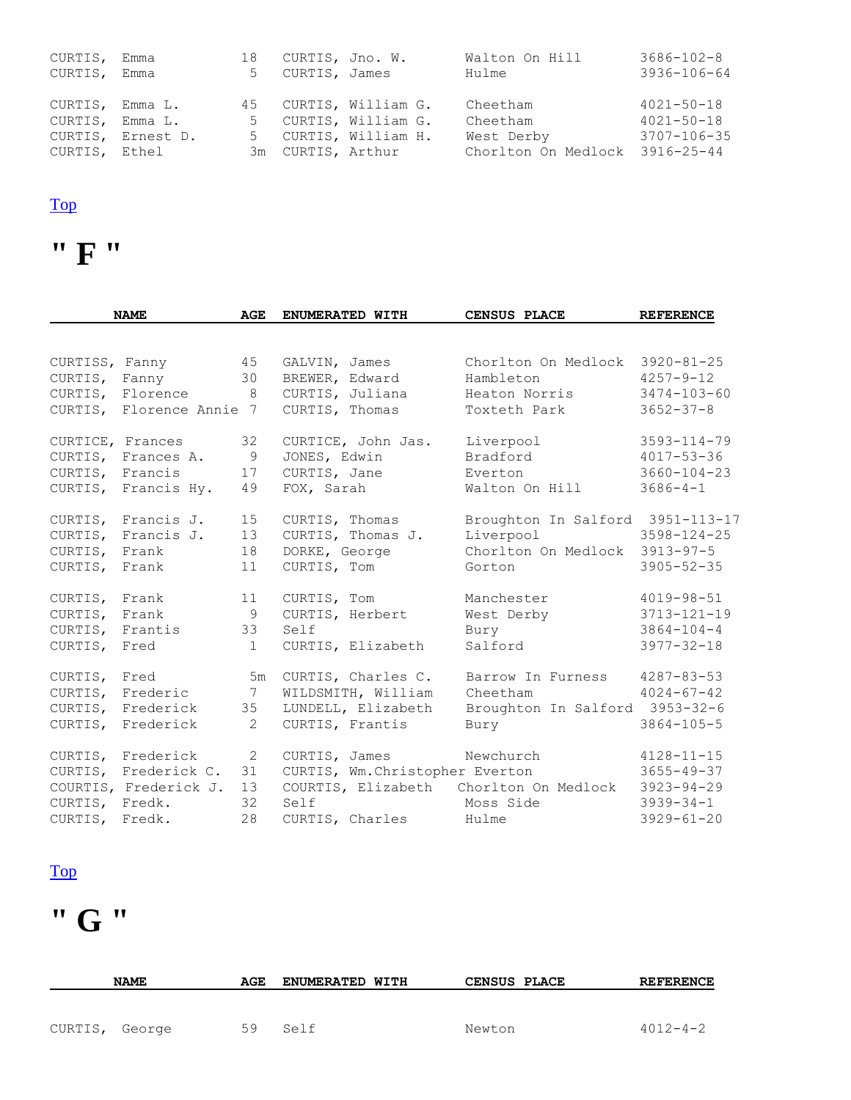| CURTIS,         | Emma              | 18 |                   | CURTIS, Jno. W.       | Walton On Hill                 | $3686 - 102 - 8$  |
|-----------------|-------------------|----|-------------------|-----------------------|--------------------------------|-------------------|
| CURTIS,         | Emma              | 5  | CURTIS, James     |                       | Hulme                          | $3936 - 106 - 64$ |
|                 |                   |    |                   |                       |                                |                   |
| CURTIS, Emma L. |                   |    |                   | 45 CURTIS, William G. | Cheetham                       | $4021 - 50 - 18$  |
| CURTIS, Emma L. |                   |    |                   | 5 CURTIS, William G.  | Cheetham                       | $4021 - 50 - 18$  |
|                 | CURTIS, Ernest D. |    |                   | 5 CURTIS, William H.  | West Derby                     | 3707-106-35       |
| CURTIS, Ethel   |                   |    | 3m CURTIS, Arthur |                       | Chorlton On Medlock 3916-25-44 |                   |

### **" F "**

|                | <b>NAME</b>                                     | <b>AGE</b>      | ENUMERATED WITH                 | <b>CENSUS PLACE</b>              | <b>REFERENCE</b>  |
|----------------|-------------------------------------------------|-----------------|---------------------------------|----------------------------------|-------------------|
|                |                                                 |                 |                                 |                                  |                   |
|                | 45<br>CURTISS, Fanny                            |                 | GALVIN, James                   | Chorlton On Medlock              | $3920 - 81 - 25$  |
| CURTIS, Fanny  |                                                 | 30              | BREWER, Edward                  | Hambleton                        | $4257 - 9 - 12$   |
|                | CURTIS, Florence<br>8 <sup>8</sup>              |                 | CURTIS, Juliana                 | Heaton Norris                    | $3474 - 103 - 60$ |
|                | CURTIS, Florence Annie 7                        |                 | CURTIS, Thomas                  | Toxteth Park                     | $3652 - 37 - 8$   |
|                | CURTICE, Frances                                | 32              | CURTICE, John Jas.              | Liverpool                        | $3593 - 114 - 79$ |
|                | CURTIS, Frances A.                              | $\overline{9}$  | JONES, Edwin                    | Bradford                         | $4017 - 53 - 36$  |
|                | CURTIS, Francis                                 | 17              | CURTIS, Jane                    | Everton                          | $3660 - 104 - 23$ |
|                | CURTIS, Francis Hy.                             | 49              | FOX, Sarah                      | Walton On Hill                   | $3686 - 4 - 1$    |
|                | CURTIS, Francis J.                              | 15              | CURTIS, Thomas                  | Broughton In Salford 3951-113-17 |                   |
|                | CURTIS, Francis J.                              | 13              | CURTIS, Thomas J.               | Liverpool                        | $3598 - 124 - 25$ |
| CURTIS, Frank  |                                                 | 18              | DORKE, George                   | Chorlton On Medlock 3913-97-5    |                   |
| CURTIS,        | Frank                                           | 11              | CURTIS, Tom                     | Gorton                           | $3905 - 52 - 35$  |
| CURTIS, Frank  |                                                 | 11              | CURTIS, Tom                     | Manchester                       | $4019 - 98 - 51$  |
| CURTIS,        | Frank                                           | 9               | CURTIS, Herbert                 | West Derby                       | $3713 - 121 - 19$ |
| CURTIS,        | Frantis                                         | 33              | Self                            | Bury                             | $3864 - 104 - 4$  |
| CURTIS, Fred   |                                                 | $\mathbf{1}$    | CURTIS, Elizabeth               | Salford                          | $3977 - 32 - 18$  |
| CURTIS, Fred   |                                                 |                 | 5m CURTIS, Charles C.           | Barrow In Furness                | $4287 - 83 - 53$  |
|                | CURTIS, Frederic                                | $7\overline{ }$ | WILDSMITH, William              | Cheetham                         | $4024 - 67 - 42$  |
|                | CURTIS, Frederick                               |                 | 35 LUNDELL, Elizabeth           | Broughton In Salford 3953-32-6   |                   |
| CURTIS,        | Frederick                                       | 2               | CURTIS, Frantis                 | Bury                             | $3864 - 105 - 5$  |
|                | $\overline{\phantom{a}}$ 2<br>CURTIS, Frederick |                 | CURTIS, James                   | Newchurch                        | $4128 - 11 - 15$  |
|                | CURTIS, Frederick C.                            | 31              | CURTIS, Wm. Christopher Everton |                                  | $3655 - 49 - 37$  |
|                | COURTIS, Frederick J.                           | 13              | COURTIS, Elizabeth              | Chorlton On Medlock              | $3923 - 94 - 29$  |
| CURTIS, Fredk. |                                                 | 32              | Self                            | Moss Side                        | $3939 - 34 - 1$   |
| CURTIS, Fredk. |                                                 | 28              | CURTIS, Charles                 | Hulme                            | $3929 - 61 - 20$  |

#### [Top](http://www.curtis-curtiss.com/pub/archives/extractions/england/lancashire/1881_census/lan_curtis_idx.html#top)

# **" G "**

|                | <b>NAME</b> | AGE | <b>ENUMERATED WITH</b> |        | <b>CENSUS PLACE</b> | <b>REFERENCE</b> |
|----------------|-------------|-----|------------------------|--------|---------------------|------------------|
|                |             |     |                        |        |                     |                  |
| CURTIS, George |             | 59  | Self                   | Newton |                     | $4012 - 4 - 2$   |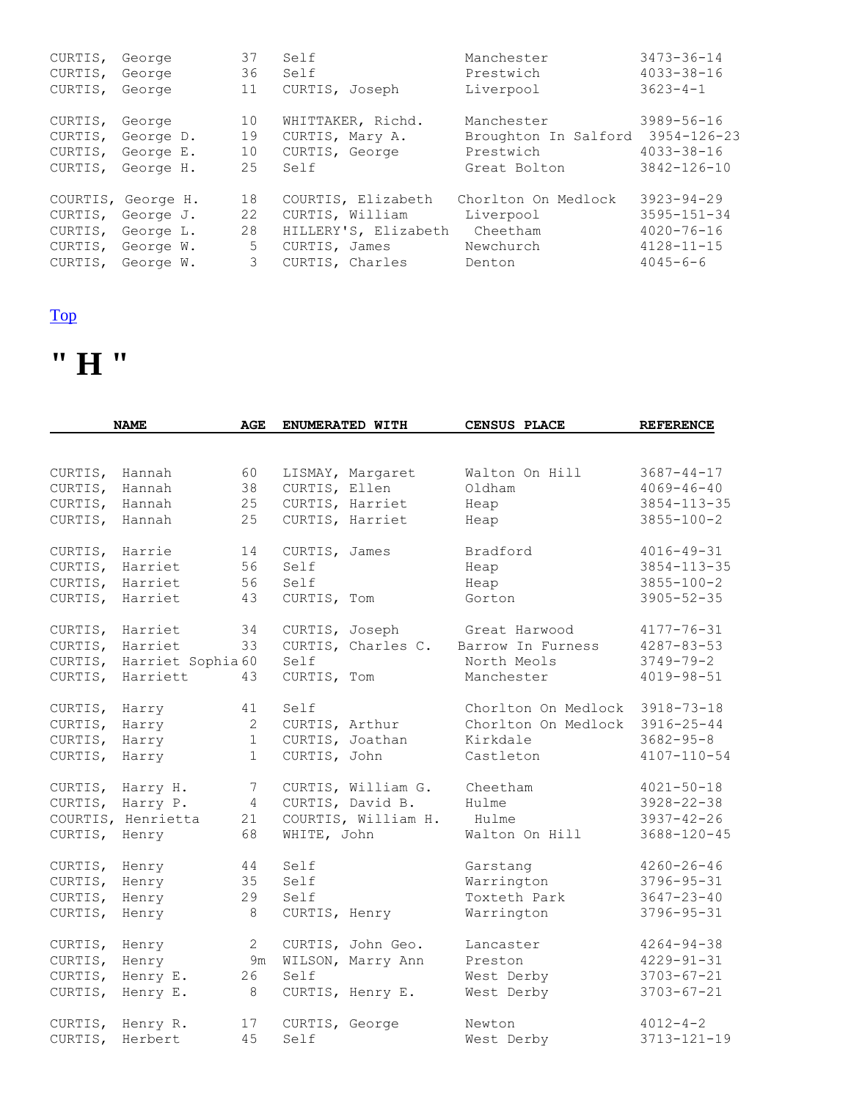| CURTIS, | George             | 37 | Self                 | Manchester           | $3473 - 36 - 14$  |
|---------|--------------------|----|----------------------|----------------------|-------------------|
| CURTIS, | George             | 36 | Self                 | Prestwich            | $4033 - 38 - 16$  |
| CURTIS, | George             | 11 | CURTIS, Joseph       | Liverpool            | $3623 - 4 - 1$    |
| CURTIS, | George             | 10 | WHITTAKER, Richd.    | Manchester           | $3989 - 56 - 16$  |
| CURTIS, | George D.          | 19 | CURTIS, Mary A.      | Broughton In Salford | $3954 - 126 - 23$ |
| CURTIS, | George E.          | 10 | CURTIS, George       | Prestwich            | $4033 - 38 - 16$  |
| CURTIS, | George H.          | 25 | Self                 | Great Bolton         | $3842 - 126 - 10$ |
|         | COURTIS, George H. | 18 | COURTIS, Elizabeth   | Chorlton On Medlock  | $3923 - 94 - 29$  |
| CURTIS, | George J.          | 22 | CURTIS, William      | Liverpool            | $3595 - 151 - 34$ |
| CURTIS, | George L.          | 28 | HILLERY'S, Elizabeth | Cheetham             | $4020 - 76 - 16$  |
| CURTIS, | George W.          | 5  | CURTIS, James        | Newchurch            | $4128 - 11 - 15$  |
| CURTIS, | George W.          | 3  | CURTIS, Charles      | Denton               | $4045 - 6 - 6$    |

### **" H "**

|                  | <b>NAME</b>        | AGE            | ENUMERATED WITH     | <b>CENSUS PLACE</b> | <b>REFERENCE</b>  |
|------------------|--------------------|----------------|---------------------|---------------------|-------------------|
|                  |                    |                |                     |                     |                   |
| CURTIS,          | Hannah             | 60             | LISMAY, Margaret    | Walton On Hill      | $3687 - 44 - 17$  |
| CURTIS,          | Hannah             | 38             | CURTIS, Ellen       | Oldham              | $4069 - 46 - 40$  |
| CURTIS,          | Hannah             | 25             | CURTIS, Harriet     | Heap                | $3854 - 113 - 35$ |
| CURTIS,          | Hannah             | 25             | CURTIS, Harriet     | Heap                | $3855 - 100 - 2$  |
| CURTIS,          | Harrie             | 14             | CURTIS, James       | Bradford            | $4016 - 49 - 31$  |
| CURTIS,          | Harriet            | 56             | Self                | Heap                | $3854 - 113 - 35$ |
| CURTIS,          | Harriet            | 56             | Self                | Heap                | $3855 - 100 - 2$  |
| CURTIS,          | Harriet            | 43             | CURTIS, Tom         | Gorton              | $3905 - 52 - 35$  |
| CURTIS, Harriet  |                    | 34             | CURTIS, Joseph      | Great Harwood       | $4177 - 76 - 31$  |
| CURTIS,          | Harriet            | 33             | CURTIS, Charles C.  | Barrow In Furness   | $4287 - 83 - 53$  |
| CURTIS,          | Harriet Sophia 60  |                | Self                | North Meols         | $3749 - 79 - 2$   |
| CURTIS,          | Harriett           | 43             | CURTIS, Tom         | Manchester          | $4019 - 98 - 51$  |
| CURTIS,          | Harry              | 41             | Self                | Chorlton On Medlock | $3918 - 73 - 18$  |
| CURTIS,          | Harry              | $\overline{2}$ | CURTIS, Arthur      | Chorlton On Medlock | $3916 - 25 - 44$  |
| CURTIS,          | Harry              | $\mathbf 1$    | CURTIS, Joathan     | Kirkdale            | $3682 - 95 - 8$   |
| CURTIS,          | Harry              | $\mathbf 1$    | CURTIS, John        | Castleton           | $4107 - 110 - 54$ |
| CURTIS, Harry H. |                    | 7              | CURTIS, William G.  | Cheetham            | $4021 - 50 - 18$  |
| CURTIS, Harry P. |                    | 4              | CURTIS, David B.    | Hulme               | $3928 - 22 - 38$  |
|                  | COURTIS, Henrietta | 21             | COURTIS, William H. | Hulme               | $3937 - 42 - 26$  |
| CURTIS, Henry    |                    | 68             | WHITE, John         | Walton On Hill      | $3688 - 120 - 45$ |
| CURTIS,          | Henry              | 44             | Self                | Garstang            | $4260 - 26 - 46$  |
| CURTIS,          | Henry              | 35             | Self                | Warrington          | $3796 - 95 - 31$  |
| CURTIS,          | Henry              | 29             | Self                | Toxteth Park        | $3647 - 23 - 40$  |
| CURTIS,          | Henry              | 8              | CURTIS, Henry       | Warrington          | $3796 - 95 - 31$  |
| CURTIS,          | Henry              | $\overline{2}$ | CURTIS, John Geo.   | Lancaster           | $4264 - 94 - 38$  |
| CURTIS,          | Henry              | 9m             | WILSON, Marry Ann   | Preston             | $4229 - 91 - 31$  |
| CURTIS,          | Henry E.           | 26             | Self                | West Derby          | $3703 - 67 - 21$  |
| CURTIS,          | Henry E.           | 8              | CURTIS, Henry E.    | West Derby          | $3703 - 67 - 21$  |
| CURTIS,          | Henry R.           | 17             | CURTIS, George      | Newton              | $4012 - 4 - 2$    |
| CURTIS,          | Herbert            | 45             | Self                | West Derby          | $3713 - 121 - 19$ |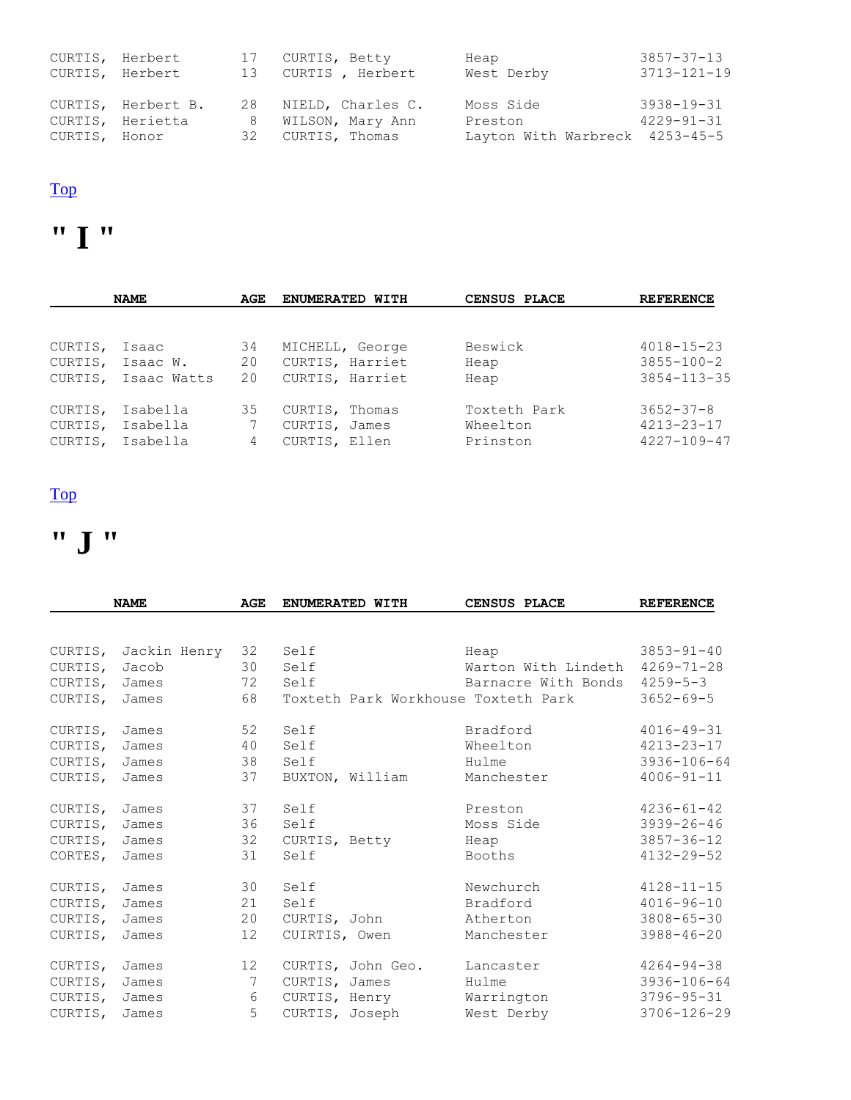| CURTIS, Herbert<br>CURTIS, Herbert |                                        | 17 CURTIS, Betty<br>13 CURTIS, Herbert     | Heap<br>West Derby             | 3857-37-13<br>3713-121-19            |
|------------------------------------|----------------------------------------|--------------------------------------------|--------------------------------|--------------------------------------|
|                                    | CURTIS, Herbert B.<br>CURTIS, Herietta | 28 NIELD, Charles C.<br>8 WILSON, Mary Ann | Moss Side<br>Preston           | $3938 - 19 - 31$<br>$4229 - 91 - 31$ |
| CURTIS, Honor                      |                                        | 32 CURTIS, Thomas                          | Layton With Warbreck 4253-45-5 |                                      |

### **" I "**

|         | <b>NAME</b> | AGE | ENUMERATED WITH | CENSUS PLACE | <b>REFERENCE</b>  |
|---------|-------------|-----|-----------------|--------------|-------------------|
|         |             |     |                 |              |                   |
| CURTIS, | Isaac       | 34  | MICHELL, George | Beswick      | $4018 - 15 - 23$  |
| CURTIS, | Isaac W.    | 20  | CURTIS, Harriet | Heap         | $3855 - 100 - 2$  |
| CURTIS, | Isaac Watts | 20  | CURTIS, Harriet | Heap         | $3854 - 113 - 35$ |
| CURTIS, | Isabella    | 35  | CURTIS, Thomas  | Toxteth Park | $3652 - 37 - 8$   |
| CURTIS, | Isabella    | 7   | CURTIS, James   | Wheelton     | $4213 - 23 - 17$  |
| CURTIS, | Isabella    | 4   | CURTIS, Ellen   | Prinston     | $4227 - 109 - 47$ |

#### [Top](http://www.curtis-curtiss.com/pub/archives/extractions/england/lancashire/1881_census/lan_curtis_idx.html#top)

# **" J "**

|         | <b>NAME</b>  | AGE | ENUMERATED WITH |                   | CENSUS PLACE                        | <b>REFERENCE</b>  |
|---------|--------------|-----|-----------------|-------------------|-------------------------------------|-------------------|
|         |              |     |                 |                   |                                     |                   |
| CURTIS, | Jackin Henry | 32  | Self            |                   | Heap                                | $3853 - 91 - 40$  |
| CURTIS, | Jacob        | 30  | Self            |                   | Warton With Lindeth                 | $4269 - 71 - 28$  |
| CURTIS, | James        | 72  | Self            |                   | Barnacre With Bonds                 | $4259 - 5 - 3$    |
| CURTIS, | James        | 68  |                 |                   | Toxteth Park Workhouse Toxteth Park | $3652 - 69 - 5$   |
| CURTIS, | James        | 52  | Self            |                   | Bradford                            | $4016 - 49 - 31$  |
| CURTIS, | James        | 40  | Self            |                   | Wheelton                            | $4213 - 23 - 17$  |
| CURTIS, | James        | 38  | Self            |                   | Hulme                               | 3936-106-64       |
| CURTIS, | James        | 37  | BUXTON, William |                   | Manchester                          | $4006 - 91 - 11$  |
| CURTIS, | James        | 37  | Self            |                   | Preston                             | $4236 - 61 - 42$  |
| CURTIS, | James        | 36  | Self            |                   | Moss Side                           | $3939 - 26 - 46$  |
| CURTIS, | James        | 32  | CURTIS, Betty   |                   | Heap                                | $3857 - 36 - 12$  |
| CORTES, | James        | 31  | Self            |                   | Booths                              | $4132 - 29 - 52$  |
| CURTIS, | James        | 30  | Self            |                   | Newchurch                           | $4128 - 11 - 15$  |
| CURTIS, | James        | 21  | Self            |                   | Bradford                            | $4016 - 96 - 10$  |
| CURTIS, | James        | 20  | CURTIS, John    |                   | Atherton                            | $3808 - 65 - 30$  |
| CURTIS, | James        | 12  | CUIRTIS, Owen   |                   | Manchester                          | $3988 - 46 - 20$  |
| CURTIS, | James        | 12  |                 | CURTIS, John Geo. | Lancaster                           | $4264 - 94 - 38$  |
| CURTIS, | James        | 7   | CURTIS, James   |                   | Hulme                               | $3936 - 106 - 64$ |
| CURTIS, | James        | 6   | CURTIS, Henry   |                   | Warrington                          | $3796 - 95 - 31$  |
| CURTIS, | James        | 5   | CURTIS, Joseph  |                   | West Derby                          | $3706 - 126 - 29$ |
|         |              |     |                 |                   |                                     |                   |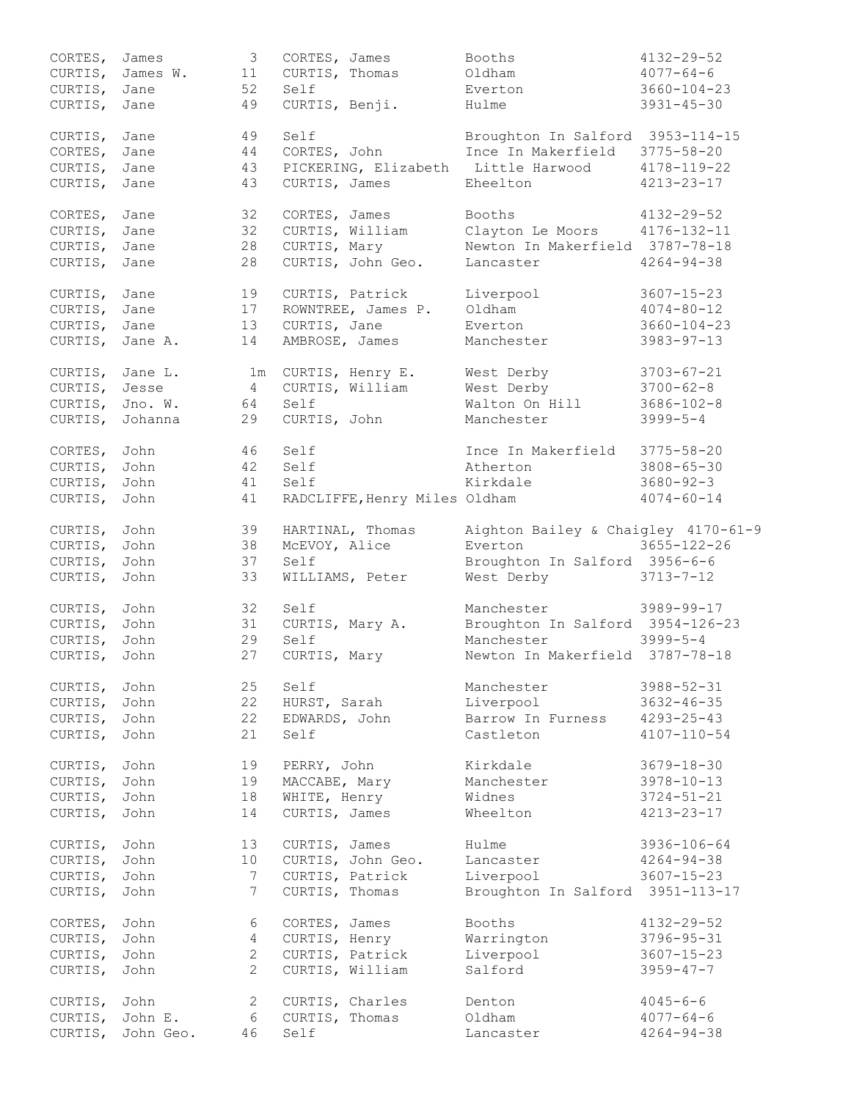| CORTES,         | James     | $\mathcal{S}$   | CORTES, James                       | Booths                              | $4132 - 29 - 52$  |
|-----------------|-----------|-----------------|-------------------------------------|-------------------------------------|-------------------|
| CURTIS,         | James W.  | 11              | CURTIS, Thomas                      | Oldham                              | $4077 - 64 - 6$   |
| CURTIS,         | Jane      | 52              | Self                                | Everton                             | $3660 - 104 - 23$ |
| CURTIS,         | Jane      | 49              | CURTIS, Benji.                      | Hulme                               | $3931 - 45 - 30$  |
|                 |           |                 |                                     |                                     |                   |
| CURTIS,         | Jane      | 49              | Self                                | Broughton In Salford 3953-114-15    |                   |
| CORTES,         | Jane      | 44              | CORTES, John                        | Ince In Makerfield                  | $3775 - 58 - 20$  |
| CURTIS,         | Jane      | 43              | PICKERING, Elizabeth Little Harwood |                                     | $4178 - 119 - 22$ |
| CURTIS,         | Jane      | 43              | CURTIS, James                       | Eheelton                            | $4213 - 23 - 17$  |
|                 |           |                 |                                     |                                     |                   |
| CORTES, Jane    |           | 32              | CORTES, James                       | Booths                              | $4132 - 29 - 52$  |
| CURTIS,         | Jane      | 32              | CURTIS, William                     | Clayton Le Moors 4176-132-11        |                   |
| CURTIS, Jane    |           | 28              | CURTIS, Mary                        | Newton In Makerfield 3787-78-18     |                   |
|                 |           |                 |                                     |                                     |                   |
| CURTIS, Jane    |           | 28              | CURTIS, John Geo.                   | Lancaster                           | $4264 - 94 - 38$  |
|                 |           | 19              |                                     |                                     | $3607 - 15 - 23$  |
| CURTIS,         | Jane      |                 | CURTIS, Patrick                     | Liverpool                           |                   |
| CURTIS,         | Jane      | 17              | ROWNTREE, James P.                  | Oldham                              | $4074 - 80 - 12$  |
| CURTIS,         | Jane      | 13              | CURTIS, Jane                        | Everton                             | $3660 - 104 - 23$ |
| CURTIS,         | Jane A.   | 14              | AMBROSE, James                      | Manchester                          | $3983 - 97 - 13$  |
|                 |           |                 |                                     |                                     |                   |
| CURTIS, Jane L. |           |                 | 1m CURTIS, Henry E.                 | West Derby                          | $3703 - 67 - 21$  |
| CURTIS,         | Jesse     | $\overline{4}$  | CURTIS, William                     | West Derby                          | $3700 - 62 - 8$   |
| CURTIS,         | Jno. W.   | 64              | Self                                | Walton On Hill                      | $3686 - 102 - 8$  |
| CURTIS,         | Johanna   | 29              | CURTIS, John                        | Manchester                          | $3999 - 5 - 4$    |
|                 |           |                 |                                     |                                     |                   |
| CORTES,         | John      | 46              | Self                                | Ince In Makerfield                  | $3775 - 58 - 20$  |
| CURTIS,         | John      | 42              | Self                                | Atherton                            | $3808 - 65 - 30$  |
| CURTIS,         | John      | 41              | Self                                | Kirkdale                            | $3680 - 92 - 3$   |
| CURTIS,         | John      | 41              | RADCLIFFE, Henry Miles Oldham       |                                     | $4074 - 60 - 14$  |
|                 |           |                 |                                     |                                     |                   |
| CURTIS,         | John      | 39              | HARTINAL, Thomas                    | Aighton Bailey & Chaigley 4170-61-9 |                   |
| CURTIS,         | John      | 38              | McEVOY, Alice                       | Everton                             | $3655 - 122 - 26$ |
| CURTIS,         | John      | 37              | Self                                | Broughton In Salford 3956-6-6       |                   |
| CURTIS,         | John      | 33              | WILLIAMS, Peter                     | West Derby                          | $3713 - 7 - 12$   |
|                 |           |                 |                                     |                                     |                   |
| CURTIS,         | John      | 32              | Self                                | Manchester                          | 3989-99-17        |
| CURTIS,         | John      | 31              | CURTIS, Mary A.                     | Broughton In Salford 3954-126-23    |                   |
| CURTIS,         | John      | 29              | Self                                | Manchester                          | $3999 - 5 - 4$    |
| CURTIS,         | John      | 27              | CURTIS, Mary                        | Newton In Makerfield 3787-78-18     |                   |
|                 |           |                 |                                     |                                     |                   |
| CURTIS,         | John      | 25              | Self                                | Manchester                          | $3988 - 52 - 31$  |
|                 |           | 22              |                                     | Liverpool                           |                   |
| CURTIS,         | John      |                 | HURST, Sarah                        |                                     | $3632 - 46 - 35$  |
| CURTIS,         | John      | 22              | EDWARDS, John                       | Barrow In Furness                   | $4293 - 25 - 43$  |
| CURTIS,         | John      | 21              | Self                                | Castleton                           | $4107 - 110 - 54$ |
|                 |           |                 |                                     |                                     |                   |
| CURTIS,         | John      | 19              | PERRY, John                         | Kirkdale                            | $3679 - 18 - 30$  |
| CURTIS,         | John      | 19              | MACCABE, Mary                       | Manchester                          | $3978 - 10 - 13$  |
| CURTIS,         | John      | 18              | WHITE, Henry                        | Widnes                              | $3724 - 51 - 21$  |
| CURTIS,         | John      | 14              | CURTIS, James                       | Wheelton                            | $4213 - 23 - 17$  |
|                 |           |                 |                                     |                                     |                   |
| CURTIS,         | John      | 13              | CURTIS, James                       | Hulme                               | 3936-106-64       |
| CURTIS,         | John      | 10              | CURTIS, John Geo.                   | Lancaster                           | $4264 - 94 - 38$  |
| CURTIS,         | John      | 7               | CURTIS, Patrick                     | Liverpool                           | $3607 - 15 - 23$  |
| CURTIS,         | John      | $7\phantom{.0}$ | CURTIS, Thomas                      | Broughton In Salford 3951-113-17    |                   |
|                 |           |                 |                                     |                                     |                   |
| CORTES,         | John      | 6               | CORTES, James                       | Booths                              | $4132 - 29 - 52$  |
| CURTIS,         | John      | $\overline{4}$  | CURTIS, Henry                       | Warrington                          | $3796 - 95 - 31$  |
| CURTIS,         | John      | $\mathbf{2}$    | CURTIS, Patrick                     | Liverpool                           | $3607 - 15 - 23$  |
| CURTIS,         | John      | $\overline{2}$  | CURTIS, William                     | Salford                             | $3959 - 47 - 7$   |
|                 |           |                 |                                     |                                     |                   |
| CURTIS,         | John      | 2               | CURTIS, Charles                     | Denton                              | $4045 - 6 - 6$    |
| CURTIS,         | John E.   | 6               | CURTIS, Thomas                      | Oldham                              | $4077 - 64 - 6$   |
| CURTIS,         | John Geo. | 46              | Self                                | Lancaster                           | $4264 - 94 - 38$  |
|                 |           |                 |                                     |                                     |                   |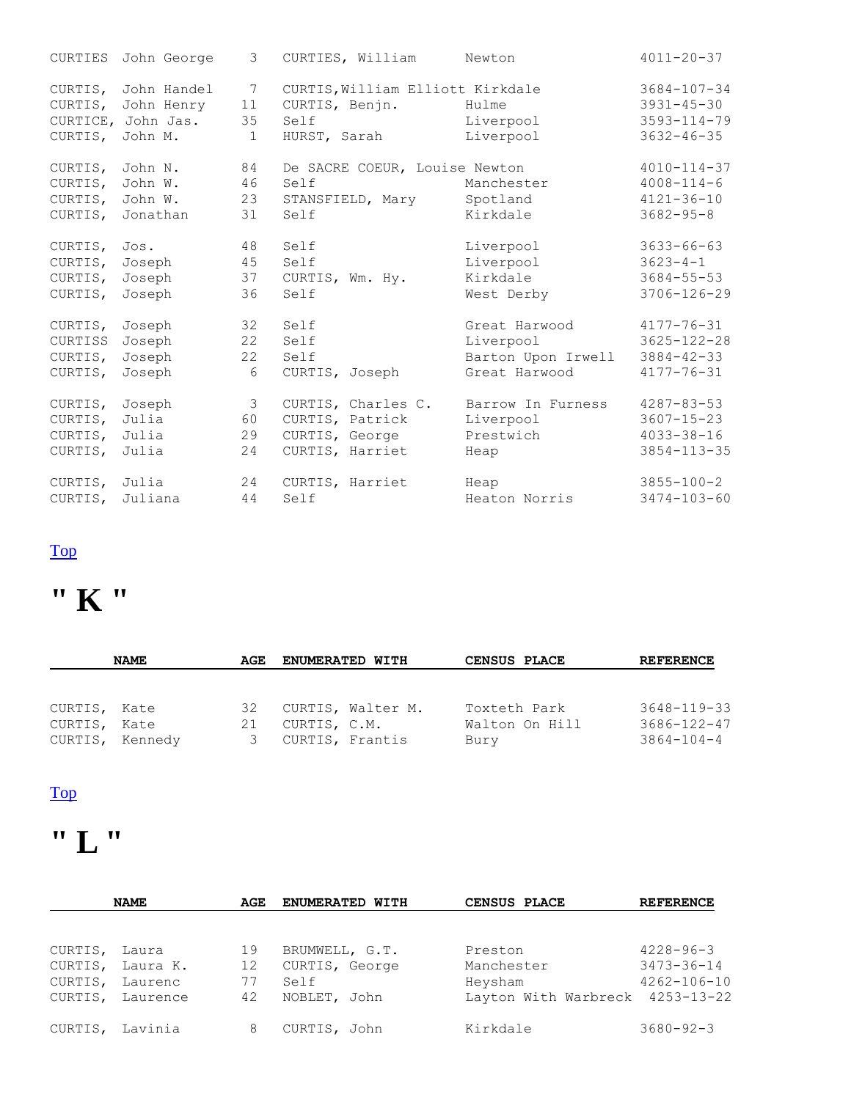| CURTIES  | John George | 3             | CURTIES, William                 | Newton             | $4011 - 20 - 37$  |
|----------|-------------|---------------|----------------------------------|--------------------|-------------------|
| CURTIS,  | John Handel | 7             | CURTIS, William Elliott Kirkdale |                    | $3684 - 107 - 34$ |
| CURTIS,  | John Henry  | 11            | CURTIS, Benjn.                   | Hulme              | $3931 - 45 - 30$  |
| CURTICE, | John Jas.   | 35            | Self                             | Liverpool          | $3593 - 114 - 79$ |
| CURTIS,  | John M.     | $\mathbf{1}$  | HURST, Sarah                     | Liverpool          | $3632 - 46 - 35$  |
| CURTIS,  | John N.     | 84            | De SACRE COEUR, Louise Newton    |                    | $4010 - 114 - 37$ |
| CURTIS,  | John W.     | 46            | Self                             | Manchester         | $4008 - 114 - 6$  |
| CURTIS,  | John W.     | 23            | STANSFIELD, Mary                 | Spotland           | $4121 - 36 - 10$  |
| CURTIS,  | Jonathan    | 31            | Self                             | Kirkdale           | $3682 - 95 - 8$   |
| CURTIS,  | Jos.        | 48            | Self                             | Liverpool          | $3633 - 66 - 63$  |
| CURTIS,  | Joseph      | 45            | Self                             | Liverpool          | $3623 - 4 - 1$    |
| CURTIS,  | Joseph      | 37            | CURTIS, Wm. Hy.                  | Kirkdale           | $3684 - 55 - 53$  |
| CURTIS,  | Joseph      | 36            | Self                             | West Derby         | $3706 - 126 - 29$ |
| CURTIS,  | Joseph      | 32            | Self                             | Great Harwood      | $4177 - 76 - 31$  |
| CURTISS  | Joseph      | 22            | Self                             | Liverpool          | $3625 - 122 - 28$ |
| CURTIS,  | Joseph      | 22            | Self                             | Barton Upon Irwell | $3884 - 42 - 33$  |
| CURTIS,  | Joseph      | 6             | CURTIS, Joseph                   | Great Harwood      | $4177 - 76 - 31$  |
| CURTIS,  | Joseph      | $\mathcal{S}$ | CURTIS, Charles C.               | Barrow In Furness  | $4287 - 83 - 53$  |
| CURTIS,  | Julia       | 60            | CURTIS, Patrick                  | Liverpool          | $3607 - 15 - 23$  |
| CURTIS,  | Julia       | 29            | CURTIS, George                   | Prestwich          | $4033 - 38 - 16$  |
| CURTIS,  | Julia       | 24            | CURTIS, Harriet                  | Heap               | $3854 - 113 - 35$ |
| CURTIS,  | Julia       | 24            | CURTIS, Harriet                  | Heap               | $3855 - 100 - 2$  |
| CURTIS,  | Juliana     | 44            | Self                             | Heaton Norris      | $3474 - 103 - 60$ |

## **" K "**

|              | <b>NAME</b>     | AGE | <b>ENUMERATED WITH</b> | CENSUS PLACE   | <b>REFERENCE</b>  |
|--------------|-----------------|-----|------------------------|----------------|-------------------|
|              |                 |     |                        |                |                   |
| CURTIS, Kate |                 | 32  | CURTIS, Walter M.      | Toxteth Park   | $3648 - 119 - 33$ |
| CURTIS, Kate |                 | 21  | CURTIS, C.M.           | Walton On Hill | $3686 - 122 - 47$ |
|              | CURTIS, Kennedy | 3   | CURTIS, Frantis        | Bury           | $3864 - 104 - 4$  |

#### [Top](http://www.curtis-curtiss.com/pub/archives/extractions/england/lancashire/1881_census/lan_curtis_idx.html#top)

## **" L "**

|         | <b>NAME</b>      | AGE | <b>ENUMERATED WITH</b> | CENSUS PLACE                    | <b>REFERENCE</b>  |
|---------|------------------|-----|------------------------|---------------------------------|-------------------|
|         |                  |     |                        |                                 |                   |
| CURTIS, | Laura            | 19  | BRUMWELL, G.T.         | Preston                         | $4228 - 96 - 3$   |
| CURTIS, | Laura K.         | 12  | CURTIS, George         | Manchester                      | $3473 - 36 - 14$  |
| CURTIS, | Laurenc          | 77  | Self                   | Heysham                         | $4262 - 106 - 10$ |
|         | CURTIS, Laurence | 42  | NOBLET, John           | Layton With Warbreck 4253-13-22 |                   |
| CURTIS, | Lavinia          | 8   | CURTIS, John           | Kirkdale                        | $3680 - 92 - 3$   |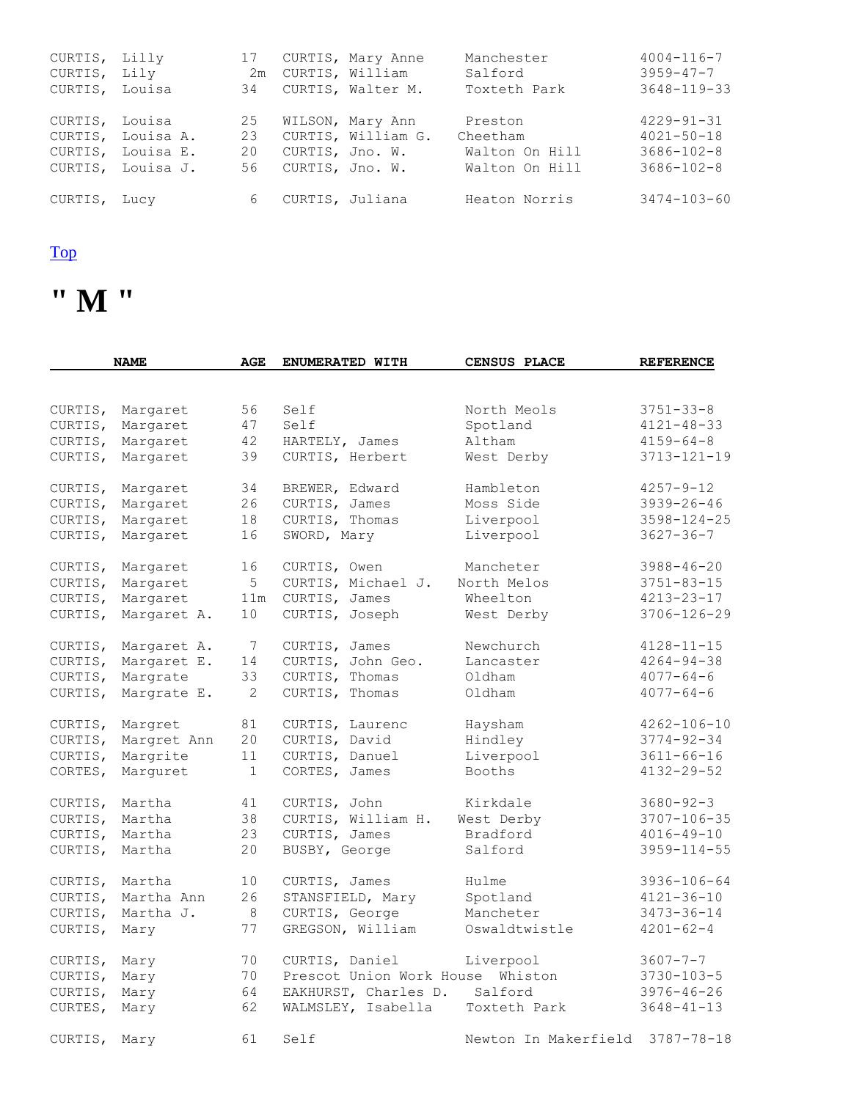| CURTIS, Lilly<br>CURTIS, Lily<br>CURTIS, Louisa |                                                             | 17                   |                   | CURTIS, Mary Anne<br>2m CURTIS, William<br>34 CURTIS, Walter M. | Manchester<br>Salford<br>Toxteth Park                   | $4004 - 116 - 7$<br>$3959 - 47 - 7$<br>$3648 - 119 - 33$                     |
|-------------------------------------------------|-------------------------------------------------------------|----------------------|-------------------|-----------------------------------------------------------------|---------------------------------------------------------|------------------------------------------------------------------------------|
| CURTIS, Louisa                                  | CURTIS, Louisa A.<br>CURTIS, Louisa E.<br>CURTIS, Louisa J. | 25<br>23<br>20<br>56 | CURTIS, Jno. W.   | WILSON, Mary Ann<br>CURTIS, William G.<br>CURTIS, Jno. W.       | Preston<br>Cheetham<br>Walton On Hill<br>Walton On Hill | $4229 - 91 - 31$<br>$4021 - 50 - 18$<br>$3686 - 102 - 8$<br>$3686 - 102 - 8$ |
| CURTIS, Lucy                                    |                                                             |                      | 6 CURTIS, Juliana |                                                                 | Heaton Norris                                           | 3474-103-60                                                                  |

**" M "** 

|         | <b>NAME</b> | <b>AGE</b> | ENUMERATED WITH          | <b>CENSUS PLACE</b>  | <b>REFERENCE</b>  |
|---------|-------------|------------|--------------------------|----------------------|-------------------|
|         |             |            |                          |                      |                   |
| CURTIS, | Margaret    | 56         | Self                     | North Meols          | $3751 - 33 - 8$   |
| CURTIS, | Margaret    | 47         | Self                     | Spotland             | $4121 - 48 - 33$  |
| CURTIS, | Margaret    | 42         | HARTELY, James           | Altham               | $4159 - 64 - 8$   |
| CURTIS, | Margaret    | 39         | CURTIS, Herbert          | West Derby           | $3713 - 121 - 19$ |
| CURTIS, | Margaret    | 34         | BREWER, Edward           | Hambleton            | $4257 - 9 - 12$   |
| CURTIS, | Margaret    | 26         | CURTIS, James            | Moss Side            | $3939 - 26 - 46$  |
| CURTIS, | Margaret    | 18         | CURTIS, Thomas           | Liverpool            | $3598 - 124 - 25$ |
| CURTIS, | Margaret    | 16         | SWORD, Mary              | Liverpool            | $3627 - 36 - 7$   |
| CURTIS, | Margaret    | 16         | CURTIS, Owen             | Mancheter            | $3988 - 46 - 20$  |
| CURTIS, | Margaret    | 5          | CURTIS, Michael J.       | North Melos          | $3751 - 83 - 15$  |
| CURTIS, | Margaret    | 11m        | CURTIS, James            | Wheelton             | $4213 - 23 - 17$  |
| CURTIS, | Margaret A. | 10         | CURTIS, Joseph           | West Derby           | $3706 - 126 - 29$ |
| CURTIS, | Margaret A. | 7          | CURTIS, James            | Newchurch            | $4128 - 11 - 15$  |
| CURTIS, | Margaret E. | 14         | CURTIS, John Geo.        | Lancaster            | $4264 - 94 - 38$  |
| CURTIS, | Margrate    | 33         | CURTIS, Thomas           | Oldham               | $4077 - 64 - 6$   |
| CURTIS, | Margrate E. | 2          | CURTIS, Thomas           | Oldham               | $4077 - 64 - 6$   |
| CURTIS, | Margret     | 81         | CURTIS, Laurenc          | Haysham              | $4262 - 106 - 10$ |
| CURTIS, | Margret Ann | 20         | CURTIS, David            | Hindley              | $3774 - 92 - 34$  |
| CURTIS, | Margrite    | 11         | CURTIS, Danuel           | Liverpool            | $3611 - 66 - 16$  |
| CORTES, | Marquret    | 1          | CORTES, James            | Booths               | $4132 - 29 - 52$  |
| CURTIS, | Martha      | 41         | CURTIS, John             | Kirkdale             | $3680 - 92 - 3$   |
| CURTIS, | Martha      | 38         | CURTIS, William H.       | West Derby           | 3707-106-35       |
| CURTIS, | Martha      | 23         | CURTIS, James            | Bradford             | $4016 - 49 - 10$  |
| CURTIS, | Martha      | 20         | BUSBY, George            | Salford              | $3959 - 114 - 55$ |
| CURTIS, | Martha      | 10         | CURTIS, James            | Hulme                | 3936-106-64       |
| CURTIS, | Martha Ann  | 26         | STANSFIELD, Mary         | Spotland             | $4121 - 36 - 10$  |
| CURTIS, | Martha J.   | 8          | CURTIS, George           | Mancheter            | 3473-36-14        |
| CURTIS, | Mary        | 77         | GREGSON, William         | Oswaldtwistle        | $4201 - 62 - 4$   |
| CURTIS, | Mary        | 70         | CURTIS, Daniel           | Liverpool            | $3607 - 7 - 7$    |
| CURTIS, | Mary        | 70         | Prescot Union Work House | Whiston              | $3730 - 103 - 5$  |
| CURTIS, | Mary        | 64         | EAKHURST, Charles D.     | Salford              | $3976 - 46 - 26$  |
| CURTES, | Mary        | 62         | WALMSLEY, Isabella       | Toxteth Park         | $3648 - 41 - 13$  |
| CURTIS, | Mary        | 61         | Self                     | Newton In Makerfield | $3787 - 78 - 18$  |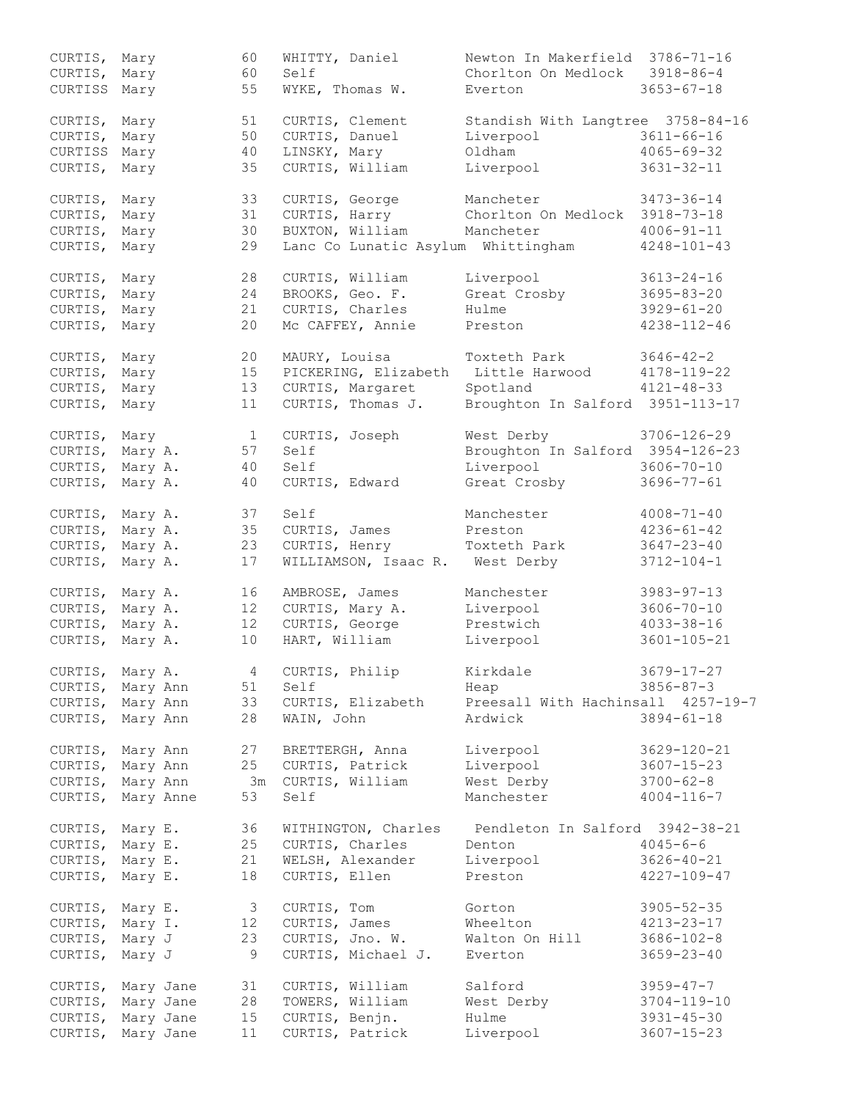| CURTIS,<br>CURTIS, | Mary<br>Mary |           | 60<br>60 | WHITTY, Daniel<br>Self             | Newton In Makerfield 3786-71-16<br>Chorlton On Medlock | $3918 - 86 - 4$   |
|--------------------|--------------|-----------|----------|------------------------------------|--------------------------------------------------------|-------------------|
| CURTISS Mary       |              |           | 55       | WYKE, Thomas W.                    | Everton                                                | $3653 - 67 - 18$  |
|                    |              |           |          |                                    |                                                        |                   |
| CURTIS,            | Mary         |           | 51       | CURTIS, Clement                    | Standish With Langtree 3758-84-16                      |                   |
| CURTIS,            | Mary         |           | 50       | CURTIS, Danuel                     | Liverpool                                              | $3611 - 66 - 16$  |
| CURTISS            | Mary         |           | 40       | LINSKY, Mary                       | Oldham                                                 | $4065 - 69 - 32$  |
| CURTIS,            | Mary         |           | 35       | CURTIS, William                    | Liverpool                                              | $3631 - 32 - 11$  |
|                    |              |           |          |                                    |                                                        |                   |
| CURTIS, Mary       |              |           | 33       | CURTIS, George                     | Mancheter                                              | $3473 - 36 - 14$  |
| CURTIS,            | Mary         |           | 31       | CURTIS, Harry                      | Chorlton On Medlock 3918-73-18                         |                   |
| CURTIS,            | Mary         |           | 30       | BUXTON, William                    | Mancheter                                              | $4006 - 91 - 11$  |
| CURTIS,            | Mary         |           | 29       | Lanc Co Lunatic Asylum Whittingham |                                                        | $4248 - 101 - 43$ |
|                    |              |           |          |                                    |                                                        |                   |
| CURTIS,            | Mary         |           | 28       | CURTIS, William                    | Liverpool                                              | $3613 - 24 - 16$  |
| CURTIS,            | Mary         |           | 24       | BROOKS, Geo. F.                    | Great Crosby                                           | $3695 - 83 - 20$  |
| CURTIS,            | Mary         |           | 21       | CURTIS, Charles                    | Hulme                                                  | $3929 - 61 - 20$  |
| CURTIS,            | Mary         |           | 20       | Mc CAFFEY, Annie                   | Preston                                                | $4238 - 112 - 46$ |
|                    |              |           |          |                                    |                                                        |                   |
| CURTIS,            | Mary         |           | 20       | MAURY, Louisa                      | Toxteth Park                                           | $3646 - 42 - 2$   |
| CURTIS,            | Mary         |           | 15       | PICKERING, Elizabeth               | Little Harwood                                         | $4178 - 119 - 22$ |
| CURTIS,            | Mary         |           | 13       | CURTIS, Margaret                   | Spotland                                               | $4121 - 48 - 33$  |
| CURTIS,            | Mary         |           | 11       | CURTIS, Thomas J.                  | Broughton In Salford 3951-113-17                       |                   |
|                    |              |           |          |                                    |                                                        |                   |
| CURTIS,            | Mary         |           | 1        | CURTIS, Joseph                     | West Derby                                             | 3706-126-29       |
| CURTIS,            | Mary A.      |           | 57       | Self                               | Broughton In Salford 3954-126-23                       |                   |
| CURTIS,            | Mary A.      |           | 40       | Self                               | Liverpool                                              | $3606 - 70 - 10$  |
| CURTIS,            | Mary A.      |           | 40       | CURTIS, Edward                     | Great Crosby                                           | $3696 - 77 - 61$  |
|                    |              |           |          |                                    |                                                        |                   |
| CURTIS,            | Mary A.      |           | 37       | Self                               | Manchester                                             | $4008 - 71 - 40$  |
| CURTIS,            | Mary A.      |           | 35       | CURTIS, James                      | Preston                                                | $4236 - 61 - 42$  |
| CURTIS,            | Mary A.      |           | 23       | CURTIS, Henry                      | Toxteth Park                                           | $3647 - 23 - 40$  |
| CURTIS,            | Mary A.      |           | 17       | WILLIAMSON, Isaac R. West Derby    |                                                        | $3712 - 104 - 1$  |
|                    |              |           |          |                                    |                                                        |                   |
| CURTIS,            | Mary A.      |           | 16       | AMBROSE, James                     | Manchester                                             | $3983 - 97 - 13$  |
| CURTIS,            | Mary A.      |           | 12       | CURTIS, Mary A.                    | Liverpool                                              | $3606 - 70 - 10$  |
| CURTIS,            | Mary A.      |           | 12       | CURTIS, George                     | Prestwich                                              | $4033 - 38 - 16$  |
| CURTIS,            | Mary A.      |           | 10       | HART, William                      | Liverpool                                              | $3601 - 105 - 21$ |
|                    |              |           |          |                                    |                                                        |                   |
| CURTIS, Mary A.    |              |           | 4        | CURTIS, Philip                     | Kirkdale                                               | $3679 - 17 - 27$  |
| CURTIS, Mary Ann   |              |           | 51       | Self                               | Heap                                                   | $3856 - 87 - 3$   |
| CURTIS, Mary Ann   |              |           | 33       | CURTIS, Elizabeth                  | Preesall With Hachinsall 4257-19-7                     |                   |
| CURTIS, Mary Ann   |              |           | 28       | WAIN, John                         | Ardwick                                                | $3894 - 61 - 18$  |
|                    |              |           |          |                                    |                                                        |                   |
| CURTIS, Mary Ann   |              |           | 27       | BRETTERGH, Anna                    | Liverpool                                              | $3629 - 120 - 21$ |
| CURTIS,            | Mary Ann     |           | 25       | CURTIS, Patrick                    | Liverpool                                              | $3607 - 15 - 23$  |
| CURTIS,            | Mary Ann     |           | 3m       | CURTIS, William                    | West Derby                                             | $3700 - 62 - 8$   |
| CURTIS,            |              | Mary Anne | 53       | Self                               | Manchester                                             | $4004 - 116 - 7$  |
|                    |              |           |          |                                    |                                                        |                   |
| CURTIS, Mary E.    |              |           | 36       | WITHINGTON, Charles                | Pendleton In Salford 3942-38-21                        |                   |
| CURTIS,            | Mary E.      |           | 25       | CURTIS, Charles                    | Denton                                                 | $4045 - 6 - 6$    |
| CURTIS,            | Mary E.      |           | 21       | WELSH, Alexander                   | Liverpool                                              | $3626 - 40 - 21$  |
| CURTIS,            | Mary E.      |           | 18       | CURTIS, Ellen                      | Preston                                                | $4227 - 109 - 47$ |
|                    |              |           |          |                                    |                                                        |                   |
| CURTIS, Mary E.    |              |           | 3        | CURTIS, Tom                        | Gorton                                                 | $3905 - 52 - 35$  |
| CURTIS, Mary I.    |              |           | 12       | CURTIS, James                      | Wheelton                                               | 4213-23-17        |
| CURTIS,            | Mary J       |           | 23       | CURTIS, Jno. W.                    | Walton On Hill                                         | $3686 - 102 - 8$  |
| CURTIS,            | Mary J       |           | 9        | CURTIS, Michael J.                 | Everton                                                | $3659 - 23 - 40$  |
|                    |              |           |          |                                    |                                                        |                   |
| CURTIS,            | Mary Jane    |           | 31       | CURTIS, William                    | Salford                                                | $3959 - 47 - 7$   |
| CURTIS,            |              | Mary Jane | 28       | TOWERS, William                    | West Derby                                             | $3704 - 119 - 10$ |
| CURTIS,            |              | Mary Jane | 15       | CURTIS, Benjn.                     | Hulme                                                  | $3931 - 45 - 30$  |
| CURTIS,            | Mary Jane    |           | 11       | CURTIS, Patrick                    | Liverpool                                              | $3607 - 15 - 23$  |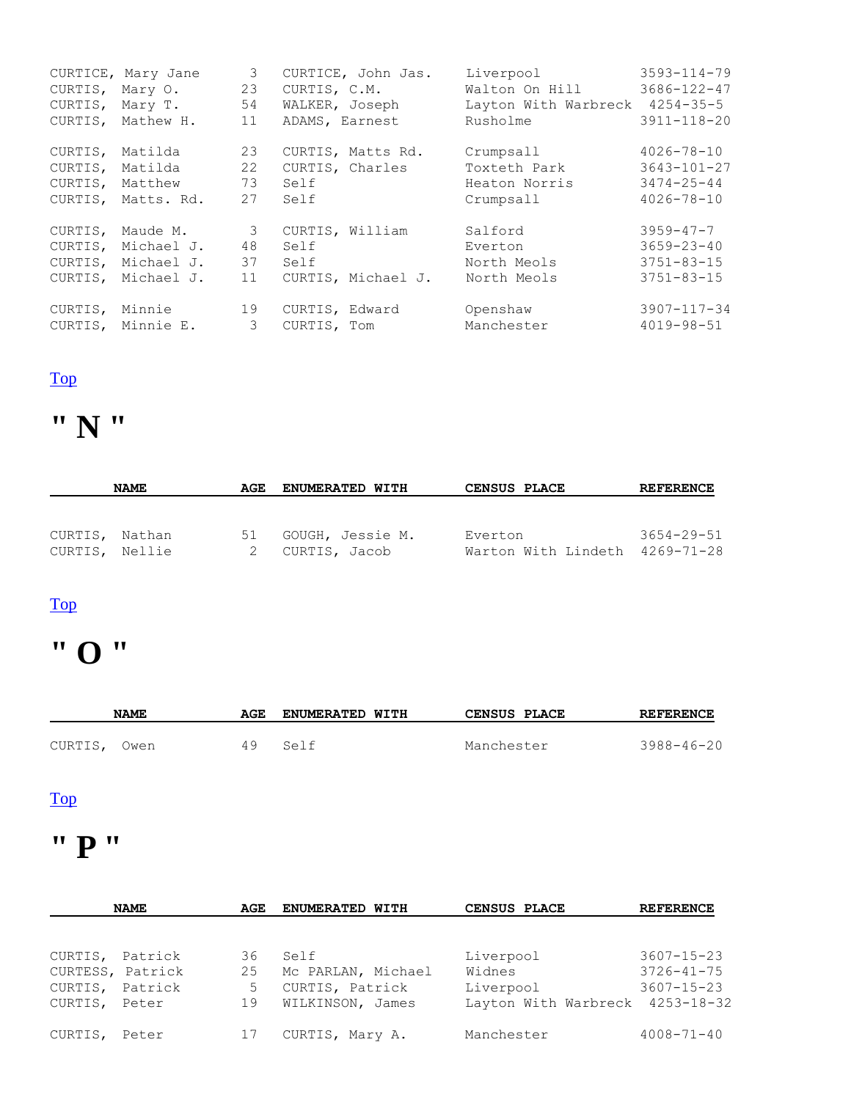| CURTIS, Mary O. | CURTICE, Mary Jane | 3<br>23 | CURTICE, John Jas.<br>CURTIS, C.M. | Liverpool<br>Walton On Hill    | $3593 - 114 - 79$<br>3686-122-47 |
|-----------------|--------------------|---------|------------------------------------|--------------------------------|----------------------------------|
| CURTIS,         | Mary T.            | 54      | WALKER, Joseph                     | Layton With Warbreck 4254-35-5 |                                  |
| CURTIS,         | Mathew H.          | 11      | ADAMS, Earnest                     | Rusholme                       | $3911 - 118 - 20$                |
| CURTIS,         | Matilda            | 23      | CURTIS, Matts Rd.                  | Crumpsall                      | $4026 - 78 - 10$                 |
| CURTIS,         | Matilda            | 22      | CURTIS, Charles                    | Toxteth Park                   | $3643 - 101 - 27$                |
| CURTIS,         | Matthew            | 73      | Self                               | Heaton Norris                  | $3474 - 25 - 44$                 |
| CURTIS,         | Matts. Rd.         | 27      | Self                               | Crumpsall                      | $4026 - 78 - 10$                 |
| CURTIS,         | Maude M.           | 3       | CURTIS, William                    | Salford                        | $3959 - 47 - 7$                  |
| CURTIS,         | Michael J.         | 48      | Self                               | Everton                        | $3659 - 23 - 40$                 |
| CURTIS,         | Michael J.         | 37      | Self                               | North Meols                    | $3751 - 83 - 15$                 |
| CURTIS,         | Michael J.         | 11      | CURTIS, Michael J.                 | North Meols                    | $3751 - 83 - 15$                 |
| CURTIS,         | Minnie             | 19      | CURTIS, Edward                     | Openshaw                       | 3907-117-34                      |
|                 | CURTIS, Minnie E.  | 3       | CURTIS, Tom                        | Manchester                     | $4019 - 98 - 51$                 |

## **" N "**

| <b>NAME</b>                      | AGE | <b>ENUMERATED WITH</b>            | CENSUS PLACE                              | <b>REFERENCE</b> |  |
|----------------------------------|-----|-----------------------------------|-------------------------------------------|------------------|--|
| CURTIS, Nathan<br>CURTIS, Nellie | 51  | GOUGH, Jessie M.<br>CURTIS, Jacob | Everton<br>Warton With Lindeth 4269-71-28 | $3654 - 29 - 51$ |  |

#### [Top](http://www.curtis-curtiss.com/pub/archives/extractions/england/lancashire/1881_census/lan_curtis_idx.html#top)

## **" O "**

|         | <b>NAME</b> | AGE | <b>ENUMERATED WITH</b> | CENSUS PLACE | <b>REFERENCE</b> |
|---------|-------------|-----|------------------------|--------------|------------------|
| CURTIS, | Owen        | 49  | Self                   | Manchester   | $3988 - 46 - 20$ |
|         |             |     |                        |              |                  |

#### [Top](http://www.curtis-curtiss.com/pub/archives/extractions/england/lancashire/1881_census/lan_curtis_idx.html#top)

### **" P "**

| <b>NAME</b><br>AGE |         |    | <b>ENUMERATED WITH</b> | CENSUS PLACE                    | <b>REFERENCE</b> |  |
|--------------------|---------|----|------------------------|---------------------------------|------------------|--|
|                    |         |    |                        |                                 |                  |  |
| CURTIS,            | Patrick | 36 | Self                   | Liverpool                       | $3607 - 15 - 23$ |  |
| CURTESS, Patrick   |         | 25 | Mc PARLAN, Michael     | Widnes                          | $3726 - 41 - 75$ |  |
| CURTIS,            | Patrick | 5  | CURTIS, Patrick        | Liverpool                       | $3607 - 15 - 23$ |  |
| CURTIS,            | Peter   | 19 | WILKINSON, James       | Layton With Warbreck 4253-18-32 |                  |  |
| CURTIS,            | Peter   | 17 | CURTIS, Mary A.        | Manchester                      | $4008 - 71 - 40$ |  |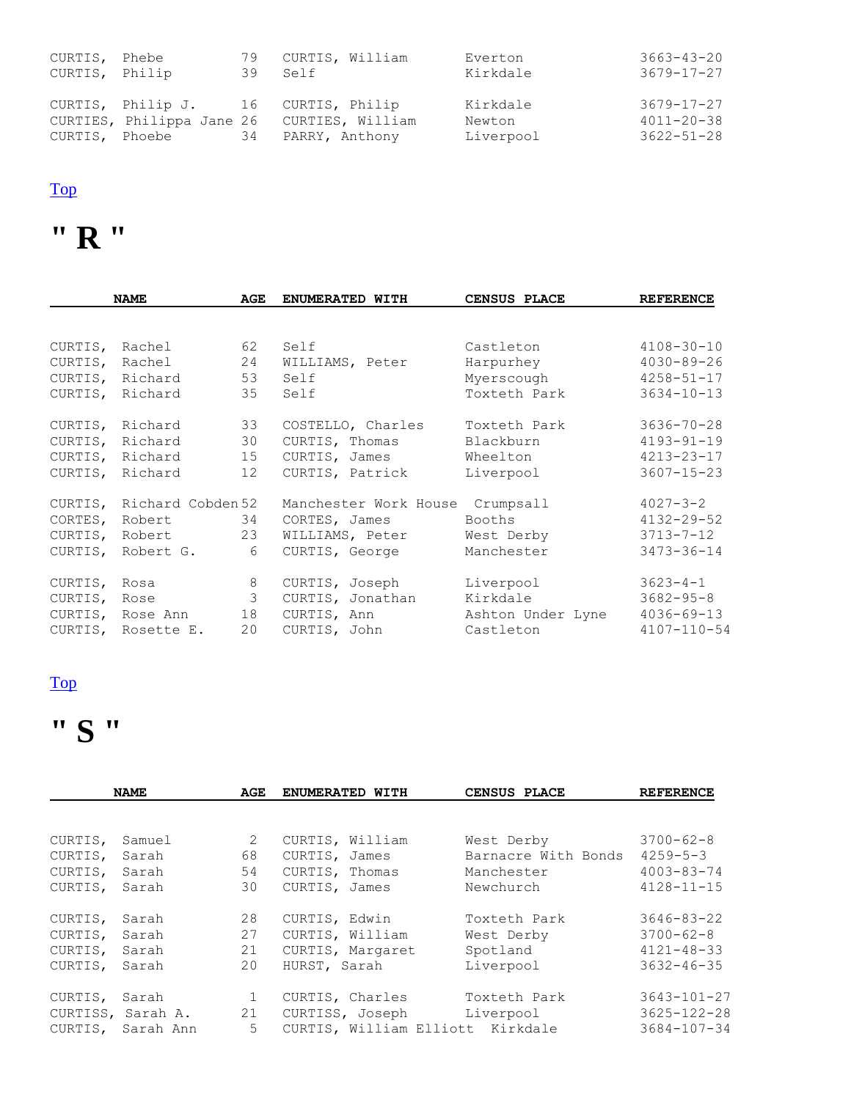| CURTIS, Phebe<br>CURTIS, Philip |  | 79 CURTIS, William<br>39 Self                                                                                         | Everton<br>Kirkdale             | $3663 - 43 - 20$<br>3679-17-27                           |
|---------------------------------|--|-----------------------------------------------------------------------------------------------------------------------|---------------------------------|----------------------------------------------------------|
|                                 |  | CURTIS, Philip J. 16 CURTIS, Philip<br>CURTIES, Philippa Jane 26 CURTIES, William<br>CURTIS, Phoebe 34 PARRY, Anthony | Kirkdale<br>Newton<br>Liverpool | $3679 - 17 - 27$<br>$4011 - 20 - 38$<br>$3622 - 51 - 28$ |

## **" R "**

| <b>NAME</b>  |                           | AGE            | ENUMERATED WITH       | CENSUS PLACE      | <b>REFERENCE</b>  |
|--------------|---------------------------|----------------|-----------------------|-------------------|-------------------|
|              |                           |                |                       |                   |                   |
|              | CURTIS, Rachel            | 62             | Self                  | Castleton         | $4108 - 30 - 10$  |
| CURTIS,      | Rachel                    | 24             | WILLIAMS, Peter       | Harpurhey         | $4030 - 89 - 26$  |
|              | CURTIS, Richard           | 53             | Self                  | Myerscough        | $4258 - 51 - 17$  |
| CURTIS,      | Richard                   | 35             | Self                  | Toxteth Park      | $3634 - 10 - 13$  |
|              | CURTIS, Richard           | 33             | COSTELLO, Charles     | Toxteth Park      | $3636 - 70 - 28$  |
| CURTIS,      | Richard                   | 30             | CURTIS, Thomas        | Blackburn         | $4193 - 91 - 19$  |
| CURTIS,      | Richard                   | 15             | CURTIS, James         | Wheelton          | $4213 - 23 - 17$  |
|              | CURTIS, Richard           | 12             | CURTIS, Patrick       | Liverpool         | $3607 - 15 - 23$  |
|              | CURTIS, Richard Cobden 52 |                | Manchester Work House | Crumpsall         | $4027 - 3 - 2$    |
| CORTES,      | Robert                    | 34             | CORTES, James         | Booths            | $4132 - 29 - 52$  |
|              | CURTIS, Robert 23         |                | WILLIAMS, Peter       | West Derby        | 3713-7-12         |
|              | CURTIS, Robert G.         | 6              | CURTIS, George        | Manchester        | $3473 - 36 - 14$  |
| CURTIS, Rosa |                           | 8              | CURTIS, Joseph        | Liverpool         | $3623 - 4 - 1$    |
| CURTIS,      | Rose                      | 3 <sup>7</sup> | CURTIS, Jonathan      | Kirkdale          | $3682 - 95 - 8$   |
|              | CURTIS, Rose Ann 18       |                | CURTIS, Ann           | Ashton Under Lyne | $4036 - 69 - 13$  |
|              | CURTIS, Rosette E.        | 20             | CURTIS, John          | Castleton         | $4107 - 110 - 54$ |

#### [Top](http://www.curtis-curtiss.com/pub/archives/extractions/england/lancashire/1881_census/lan_curtis_idx.html#top)

## **" S "**

| <b>NAME</b> |                   | AGE          | ENUMERATED WITH                  | CENSUS PLACE        | <b>REFERENCE</b>  |  |
|-------------|-------------------|--------------|----------------------------------|---------------------|-------------------|--|
|             |                   |              |                                  |                     |                   |  |
| CURTIS,     | Samuel            | 2            | CURTIS, William                  | West Derby          | $3700 - 62 - 8$   |  |
| CURTIS,     | Sarah             | 68           | CURTIS, James                    | Barnacre With Bonds | $4259 - 5 - 3$    |  |
| CURTIS,     | Sarah             | 54           | CURTIS, Thomas                   | Manchester          | $4003 - 83 - 74$  |  |
| CURTIS,     | Sarah             | 30           | CURTIS, James                    | Newchurch           | $4128 - 11 - 15$  |  |
|             |                   |              |                                  |                     |                   |  |
| CURTIS,     | Sarah             | 28           | CURTIS, Edwin                    | Toxteth Park        | $3646 - 83 - 22$  |  |
| CURTIS,     | Sarah             | 27           | CURTIS, William                  | West Derby          | $3700 - 62 - 8$   |  |
| CURTIS,     | Sarah             | 21           | CURTIS, Margaret                 | Spotland            | $4121 - 48 - 33$  |  |
| CURTIS,     | Sarah             | 20           | HURST, Sarah                     | Liverpool           | $3632 - 46 - 35$  |  |
| CURTIS,     | Sarah             | $\mathbf{1}$ | CURTIS, Charles                  | Toxteth Park        | $3643 - 101 - 27$ |  |
|             | CURTISS, Sarah A. | 21           | CURTISS, Joseph                  | Liverpool           | $3625 - 122 - 28$ |  |
| CURTIS,     | Sarah Ann         | 5            | CURTIS, William Elliott Kirkdale |                     | $3684 - 107 - 34$ |  |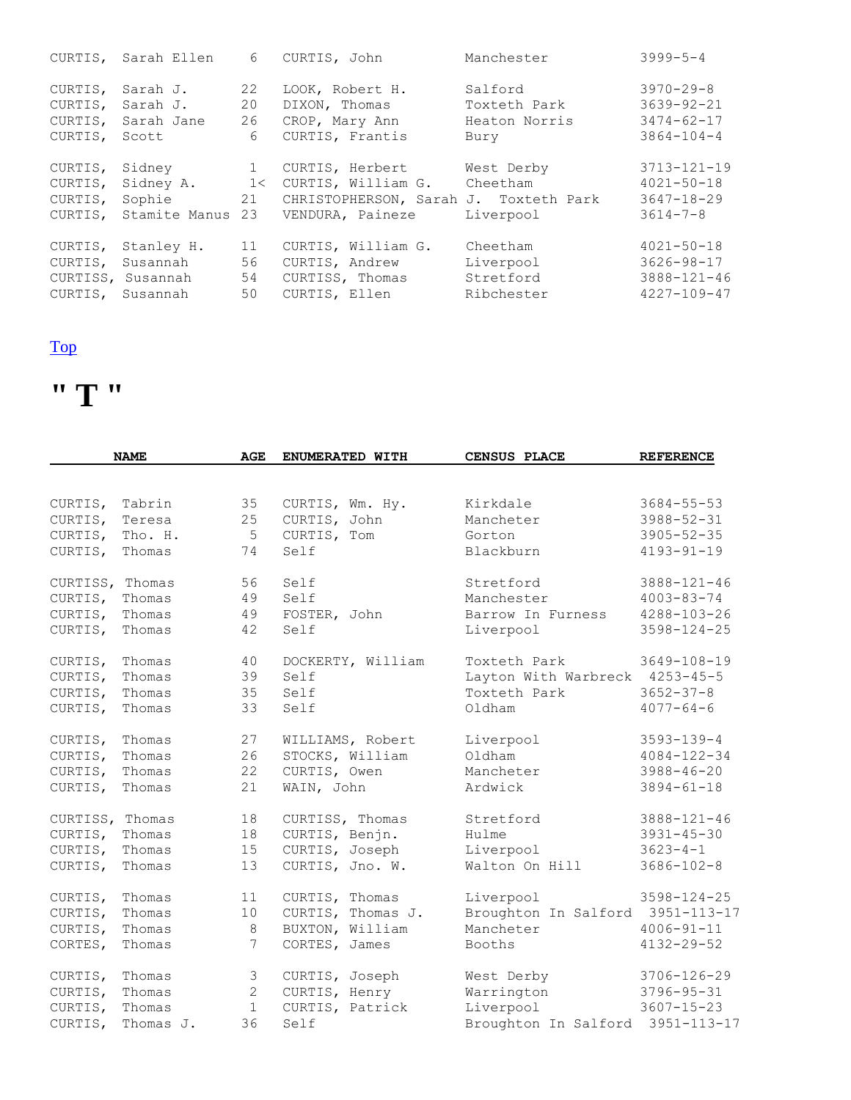| CURTIS, | Sarah Ellen       | 6  | CURTIS, John                          | Manchester    | $3999 - 5 - 4$    |
|---------|-------------------|----|---------------------------------------|---------------|-------------------|
| CURTIS, | Sarah J.          | 22 | LOOK, Robert H.                       | Salford       | $3970 - 29 - 8$   |
| CURTIS, | Sarah J.          | 20 | DIXON, Thomas                         | Toxteth Park  | $3639 - 92 - 21$  |
| CURTIS, | Sarah Jane        | 26 | CROP, Mary Ann                        | Heaton Norris | $3474 - 62 - 17$  |
| CURTIS, | Scott             | 6  | CURTIS, Frantis                       | Bury          | $3864 - 104 - 4$  |
| CURTIS, | Sidney            | 1  | CURTIS, Herbert                       | West Derby    | $3713 - 121 - 19$ |
| CURTIS, | Sidney A.         | 1< | CURTIS, William G.                    | Cheetham      | $4021 - 50 - 18$  |
| CURTIS, | Sophie            | 21 | CHRISTOPHERSON, Sarah J. Toxteth Park |               | $3647 - 18 - 29$  |
| CURTIS, | Stamite Manus     | 23 | VENDURA, Paineze                      | Liverpool     | $3614 - 7 - 8$    |
| CURTIS, | Stanley H.        | 11 | CURTIS, William G.                    | Cheetham      | $4021 - 50 - 18$  |
| CURTIS, | Susannah          | 56 | CURTIS, Andrew                        | Liverpool     | 3626-98-17        |
|         | CURTISS, Susannah | 54 | CURTISS, Thomas                       | Stretford     | $3888 - 121 - 46$ |
| CURTIS, | Susannah          | 50 | CURTIS, Ellen                         | Ribchester    | $4227 - 109 - 47$ |

## **" T "**

|                 | <b>NAME</b><br><b>AGE</b><br>ENUMERATED WITH<br><b>CENSUS PLACE</b> |                | <b>REFERENCE</b>  |                                  |                   |
|-----------------|---------------------------------------------------------------------|----------------|-------------------|----------------------------------|-------------------|
|                 |                                                                     |                |                   |                                  |                   |
| CURTIS,         | Tabrin                                                              | 35             | CURTIS, Wm. Hy.   | Kirkdale                         | $3684 - 55 - 53$  |
| CURTIS,         | Teresa                                                              | 25             | CURTIS, John      | Mancheter                        | $3988 - 52 - 31$  |
| CURTIS,         | Tho. H.                                                             | 5              | CURTIS, Tom       | Gorton                           | $3905 - 52 - 35$  |
| CURTIS,         | Thomas                                                              | 74             | Self              | Blackburn                        | $4193 - 91 - 19$  |
| CURTISS, Thomas |                                                                     | 56             | Self              | Stretford                        | $3888 - 121 - 46$ |
| CURTIS,         | Thomas                                                              | 49             | Self              | Manchester                       | $4003 - 83 - 74$  |
| CURTIS,         | Thomas                                                              | 49             | FOSTER, John      | Barrow In Furness                | $4288 - 103 - 26$ |
| CURTIS,         | Thomas                                                              | 42             | Self              | Liverpool                        | $3598 - 124 - 25$ |
| CURTIS,         | Thomas                                                              | 40             | DOCKERTY, William | Toxteth Park                     | $3649 - 108 - 19$ |
| CURTIS,         | Thomas                                                              | 39             | Self              | Layton With Warbreck 4253-45-5   |                   |
| CURTIS,         | Thomas                                                              | 35             | Self              | Toxteth Park                     | $3652 - 37 - 8$   |
| CURTIS,         | Thomas                                                              | 33             | Self              | Oldham                           | $4077 - 64 - 6$   |
| CURTIS,         | Thomas                                                              | 27             | WILLIAMS, Robert  | Liverpool                        | $3593 - 139 - 4$  |
| CURTIS,         | Thomas                                                              | 26             | STOCKS, William   | Oldham                           | $4084 - 122 - 34$ |
| CURTIS,         | Thomas                                                              | 22             | CURTIS, Owen      | Mancheter                        | $3988 - 46 - 20$  |
| CURTIS,         | Thomas                                                              | 21             | WAIN, John        | Ardwick                          | $3894 - 61 - 18$  |
| CURTISS, Thomas |                                                                     | 18             | CURTISS, Thomas   | Stretford                        | $3888 - 121 - 46$ |
| CURTIS,         | Thomas                                                              | 18             | CURTIS, Benjn.    | Hulme                            | $3931 - 45 - 30$  |
| CURTIS,         | Thomas                                                              | 15             | CURTIS, Joseph    | Liverpool                        | $3623 - 4 - 1$    |
| CURTIS,         | Thomas                                                              | 13             | CURTIS, Jno. W.   | Walton On Hill                   | $3686 - 102 - 8$  |
| CURTIS,         | Thomas                                                              | 11             | CURTIS, Thomas    | Liverpool                        | $3598 - 124 - 25$ |
| CURTIS,         | Thomas                                                              | 10             | CURTIS, Thomas J. | Broughton In Salford 3951-113-17 |                   |
| CURTIS,         | Thomas                                                              | 8              | BUXTON, William   | Mancheter                        | $4006 - 91 - 11$  |
| CORTES,         | Thomas                                                              | $\overline{7}$ | CORTES, James     | Booths                           | $4132 - 29 - 52$  |
| CURTIS,         | Thomas                                                              | 3              | CURTIS, Joseph    | West Derby                       | $3706 - 126 - 29$ |
| CURTIS,         | Thomas                                                              | 2              | CURTIS, Henry     | Warrington                       | $3796 - 95 - 31$  |
| CURTIS,         | Thomas                                                              | $\mathbf{1}$   | CURTIS, Patrick   | Liverpool                        | $3607 - 15 - 23$  |
| CURTIS,         | Thomas J.                                                           | 36             | Self              | Broughton In Salford             | 3951-113-17       |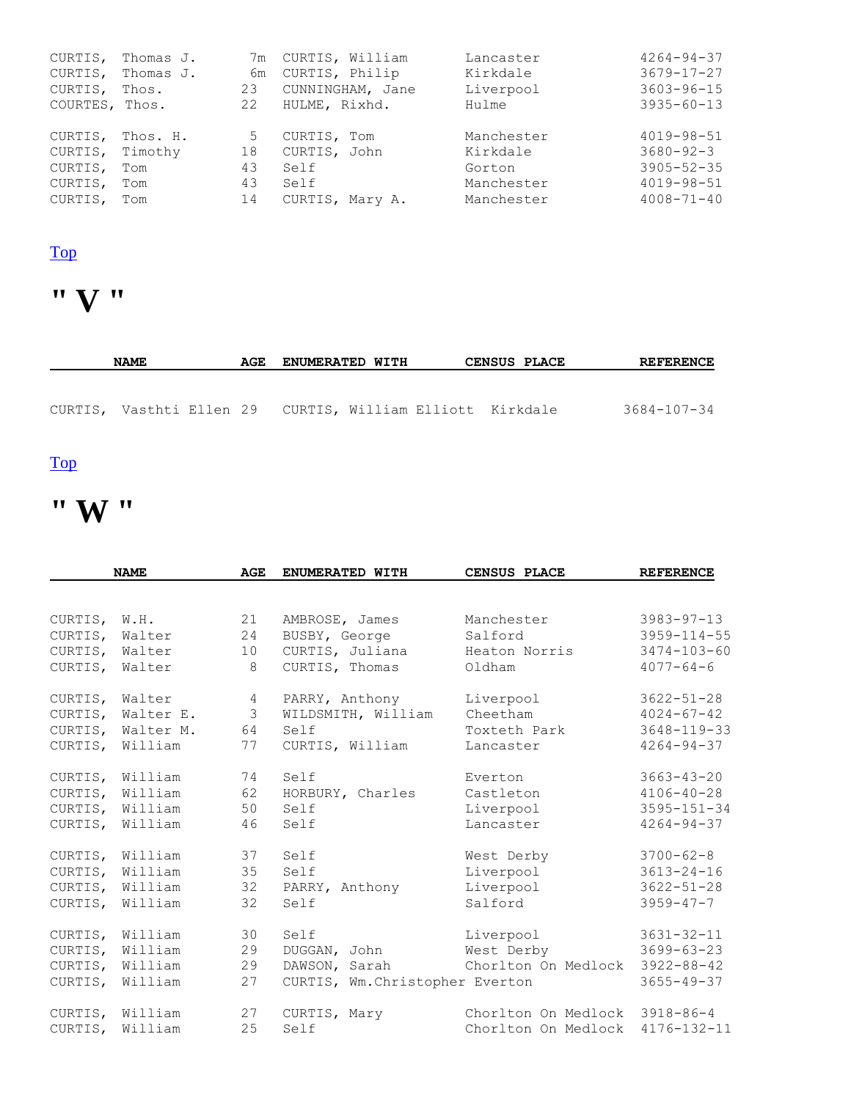| CURTIS,        | Thomas J. |    | 7m CURTIS, William | Lancaster  | $4264 - 94 - 37$ |
|----------------|-----------|----|--------------------|------------|------------------|
| CURTIS,        | Thomas J. | 6m | CURTIS, Philip     | Kirkdale   | $3679 - 17 - 27$ |
| CURTIS,        | Thos.     | 23 | CUNNINGHAM, Jane   | Liverpool  | $3603 - 96 - 15$ |
| COURTES, Thos. |           | 22 | HULME, Rixhd.      | Hulme      | $3935 - 60 - 13$ |
|                |           |    |                    |            |                  |
| CURTIS,        | Thos. H.  | 5  | CURTIS, Tom        | Manchester | $4019 - 98 - 51$ |
| CURTIS,        | Timothy   | 18 | CURTIS, John       | Kirkdale   | $3680 - 92 - 3$  |
| CURTIS,        | Tom       | 43 | Self               | Gorton     | $3905 - 52 - 35$ |
| CURTIS,        | Tom       | 43 | Self               | Manchester | $4019 - 98 - 51$ |
| CURTIS,        | Tom       | 14 | CURTIS, Mary A.    | Manchester | $4008 - 71 - 40$ |

## **" V "**

| <b>NAME</b>                                               | AGE | <b>ENUMERATED WITH</b> |  | <b>CENSUS PLACE</b> | <b>REFERENCE</b> |
|-----------------------------------------------------------|-----|------------------------|--|---------------------|------------------|
|                                                           |     |                        |  |                     |                  |
| CURTIS, Vasthti Ellen 29 CURTIS, William Elliott Kirkdale |     |                        |  |                     | 3684-107-34      |

#### [Top](http://www.curtis-curtiss.com/pub/archives/extractions/england/lancashire/1881_census/lan_curtis_idx.html#top)

# **" W "**

| <b>NAME</b>  |           | <b>AGE</b> | ENUMERATED WITH                 | CENSUS PLACE                  | <b>REFERENCE</b>  |
|--------------|-----------|------------|---------------------------------|-------------------------------|-------------------|
|              |           |            |                                 |                               |                   |
| CURTIS, W.H. |           | 21         | AMBROSE, James                  | Manchester                    | $3983 - 97 - 13$  |
| CURTIS,      | Walter    | 24         | BUSBY, George                   | Salford                       | $3959 - 114 - 55$ |
| CURTIS,      | Walter    | 10         | CURTIS, Juliana                 | Heaton Norris                 | $3474 - 103 - 60$ |
| CURTIS,      | Walter    | 8          | CURTIS, Thomas                  | Oldham                        | $4077 - 64 - 6$   |
| CURTIS,      | Walter    | 4          | PARRY, Anthony                  | Liverpool                     | $3622 - 51 - 28$  |
| CURTIS,      | Walter E. | 3          | WILDSMITH, William              | Cheetham                      | $4024 - 67 - 42$  |
| CURTIS,      | Walter M. | 64         | Self                            | Toxteth Park                  | $3648 - 119 - 33$ |
| CURTIS,      | William   | 77         | CURTIS, William                 | Lancaster                     | $4264 - 94 - 37$  |
| CURTIS,      | William   | 74         | Self                            | Everton                       | $3663 - 43 - 20$  |
| CURTIS,      | William   | 62         | HORBURY, Charles                | Castleton                     | $4106 - 40 - 28$  |
| CURTIS,      | William   | 50         | Self                            | Liverpool                     | $3595 - 151 - 34$ |
| CURTIS,      | William   | 46         | Self                            | Lancaster                     | $4264 - 94 - 37$  |
| CURTIS,      | William   | 37         | Self                            | West Derby                    | $3700 - 62 - 8$   |
| CURTIS,      | William   | 35         | Self                            | Liverpool                     | $3613 - 24 - 16$  |
| CURTIS,      | William   | 32         | PARRY, Anthony                  | Liverpool                     | $3622 - 51 - 28$  |
| CURTIS,      | William   | 32         | Self                            | Salford                       | $3959 - 47 - 7$   |
| CURTIS,      | William   | 30         | Self                            | Liverpool                     | $3631 - 32 - 11$  |
| CURTIS,      | William   | 29         | DUGGAN, John                    | West Derby                    | $3699 - 63 - 23$  |
| CURTIS,      | William   | 29         | DAWSON, Sarah                   | Chorlton On Medlock           | $3922 - 88 - 42$  |
| CURTIS,      | William   | 27         | CURTIS, Wm. Christopher Everton |                               | $3655 - 49 - 37$  |
| CURTIS,      | William   | 27         | CURTIS, Mary                    | Chorlton On Medlock 3918-86-4 |                   |
| CURTIS,      | William   | 25         | Self                            | Chorlton On Medlock           | $4176 - 132 - 11$ |